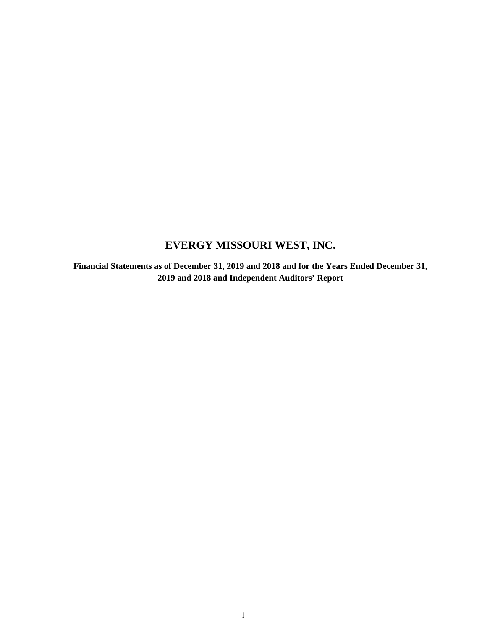# **EVERGY MISSOURI WEST, INC.**

**Financial Statements as of December 31, 2019 and 2018 and for the Years Ended December 31, 2019 and 2018 and Independent Auditors' Report**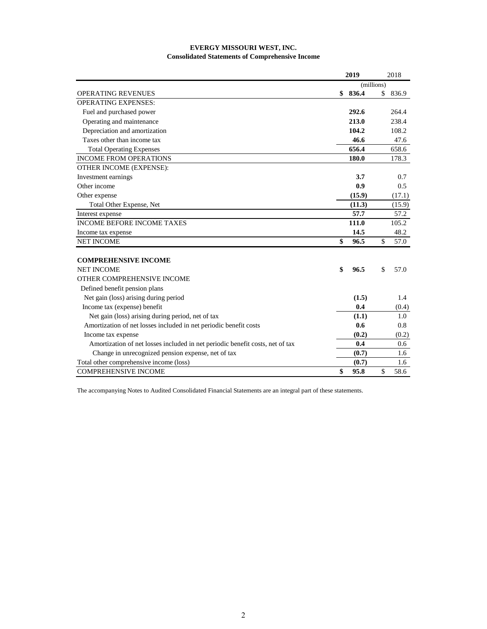### **Consolidated Statements of Comprehensive Income EVERGY MISSOURI WEST, INC.**

|                                                                               | 2019        | 2018        |
|-------------------------------------------------------------------------------|-------------|-------------|
|                                                                               | (millions)  |             |
| <b>OPERATING REVENUES</b>                                                     | \$<br>836.4 | \$<br>836.9 |
| <b>OPERATING EXPENSES:</b>                                                    |             |             |
| Fuel and purchased power                                                      | 292.6       | 264.4       |
| Operating and maintenance                                                     | 213.0       | 238.4       |
| Depreciation and amortization                                                 | 104.2       | 108.2       |
| Taxes other than income tax                                                   | 46.6        | 47.6        |
| <b>Total Operating Expenses</b>                                               | 656.4       | 658.6       |
| <b>INCOME FROM OPERATIONS</b>                                                 | 180.0       | 178.3       |
| OTHER INCOME (EXPENSE):                                                       |             |             |
| Investment earnings                                                           | 3.7         | 0.7         |
| Other income                                                                  | 0.9         | 0.5         |
| Other expense                                                                 | (15.9)      | (17.1)      |
| Total Other Expense, Net                                                      | (11.3)      | (15.9)      |
| Interest expense                                                              | 57.7        | 57.2        |
| <b>INCOME BEFORE INCOME TAXES</b>                                             | 111.0       | 105.2       |
| Income tax expense                                                            | 14.5        | 48.2        |
| <b>NET INCOME</b>                                                             | \$<br>96.5  | \$<br>57.0  |
| <b>COMPREHENSIVE INCOME</b>                                                   |             |             |
| <b>NET INCOME</b>                                                             | \$<br>96.5  | \$<br>57.0  |
| OTHER COMPREHENSIVE INCOME                                                    |             |             |
| Defined benefit pension plans                                                 |             |             |
| Net gain (loss) arising during period                                         | (1.5)       | 1.4         |
| Income tax (expense) benefit                                                  | 0.4         | (0.4)       |
| Net gain (loss) arising during period, net of tax                             | (1.1)       | 1.0         |
| Amortization of net losses included in net periodic benefit costs             | 0.6         | 0.8         |
| Income tax expense                                                            | (0.2)       | (0.2)       |
| Amortization of net losses included in net periodic benefit costs, net of tax | 0.4         | 0.6         |
| Change in unrecognized pension expense, net of tax                            | (0.7)       | 1.6         |
| Total other comprehensive income (loss)                                       | (0.7)       | 1.6         |
| <b>COMPREHENSIVE INCOME</b>                                                   | \$<br>95.8  | \$<br>58.6  |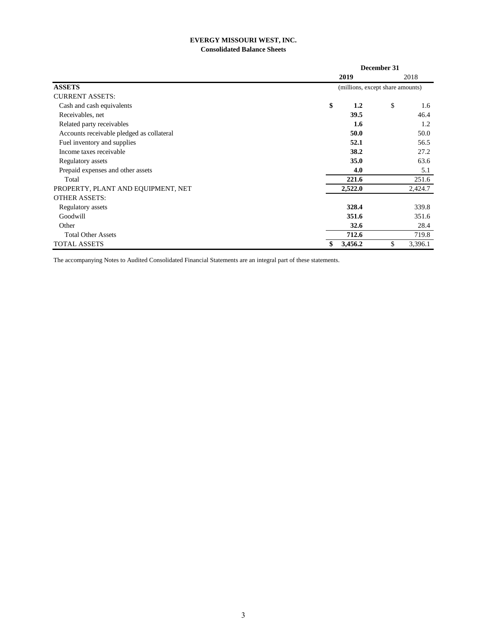# **EVERGY MISSOURI WEST, INC. Consolidated Balance Sheets**

|                                           |      | December 31                      |    |         |  |
|-------------------------------------------|------|----------------------------------|----|---------|--|
|                                           | 2019 |                                  |    | 2018    |  |
| <b>ASSETS</b>                             |      | (millions, except share amounts) |    |         |  |
| <b>CURRENT ASSETS:</b>                    |      |                                  |    |         |  |
| Cash and cash equivalents                 | \$   | 1.2                              | \$ | 1.6     |  |
| Receivables, net                          |      | 39.5                             |    | 46.4    |  |
| Related party receivables                 |      | 1.6                              |    | 1.2     |  |
| Accounts receivable pledged as collateral |      | 50.0                             |    | 50.0    |  |
| Fuel inventory and supplies               |      | 52.1                             |    | 56.5    |  |
| Income taxes receivable                   |      | 38.2                             |    | 27.2    |  |
| Regulatory assets                         |      | 35.0                             |    | 63.6    |  |
| Prepaid expenses and other assets         |      | 4.0                              |    | 5.1     |  |
| Total                                     |      | 221.6                            |    | 251.6   |  |
| PROPERTY, PLANT AND EQUIPMENT, NET        |      | 2,522.0                          |    | 2,424.7 |  |
| <b>OTHER ASSETS:</b>                      |      |                                  |    |         |  |
| Regulatory assets                         |      | 328.4                            |    | 339.8   |  |
| Goodwill                                  |      | 351.6                            |    | 351.6   |  |
| Other                                     |      | 32.6                             |    | 28.4    |  |
| <b>Total Other Assets</b>                 |      | 712.6                            |    | 719.8   |  |
| <b>TOTAL ASSETS</b>                       |      | 3,456.2                          | \$ | 3,396.1 |  |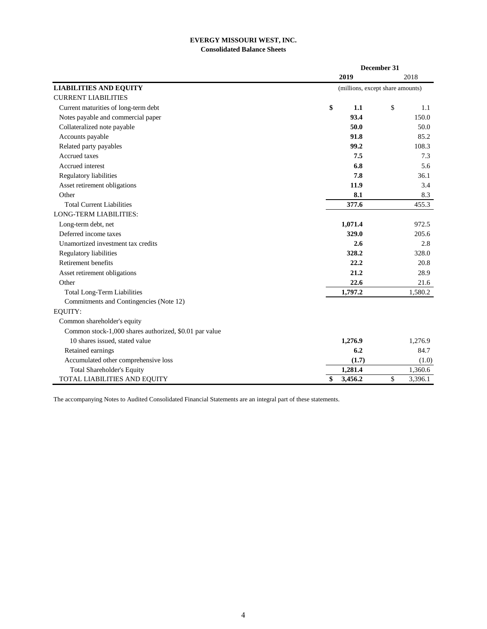# **EVERGY MISSOURI WEST, INC. Consolidated Balance Sheets**

|                                                        |               | December 31                      |
|--------------------------------------------------------|---------------|----------------------------------|
|                                                        | 2019          | 2018                             |
| <b>LIABILITIES AND EQUITY</b>                          |               | (millions, except share amounts) |
| <b>CURRENT LIABILITIES</b>                             |               |                                  |
| Current maturities of long-term debt                   | \$            | \$<br>1.1<br>1.1                 |
| Notes payable and commercial paper                     |               | 93.4<br>150.0                    |
| Collateralized note payable                            |               | 50.0<br>50.0                     |
| Accounts payable                                       |               | 91.8<br>85.2                     |
| Related party payables                                 |               | 99.2<br>108.3                    |
| Accrued taxes                                          |               | 7.5<br>7.3                       |
| Accrued interest                                       |               | 6.8<br>5.6                       |
| Regulatory liabilities                                 |               | 7.8<br>36.1                      |
| Asset retirement obligations                           |               | 11.9<br>3.4                      |
| Other                                                  |               | 8.1<br>8.3                       |
| <b>Total Current Liabilities</b>                       | 377.6         | 455.3                            |
| <b>LONG-TERM LIABILITIES:</b>                          |               |                                  |
| Long-term debt, net                                    | 1,071.4       | 972.5                            |
| Deferred income taxes                                  | 329.0         | 205.6                            |
| Unamortized investment tax credits                     |               | 2.6<br>2.8                       |
| Regulatory liabilities                                 | 328.2         | 328.0                            |
| Retirement benefits                                    |               | 22.2<br>20.8                     |
| Asset retirement obligations                           |               | 21.2<br>28.9                     |
| Other                                                  |               | 22.6<br>21.6                     |
| <b>Total Long-Term Liabilities</b>                     | 1,797.2       | 1,580.2                          |
| Commitments and Contingencies (Note 12)                |               |                                  |
| EQUITY:                                                |               |                                  |
| Common shareholder's equity                            |               |                                  |
| Common stock-1,000 shares authorized, \$0.01 par value |               |                                  |
| 10 shares issued, stated value                         | 1,276.9       | 1,276.9                          |
| Retained earnings                                      |               | 6.2<br>84.7                      |
| Accumulated other comprehensive loss                   |               | (1.7)<br>(1.0)                   |
| Total Shareholder's Equity                             | 1,281.4       | 1,360.6                          |
| TOTAL LIABILITIES AND EQUITY                           | \$<br>3,456.2 | \$<br>3,396.1                    |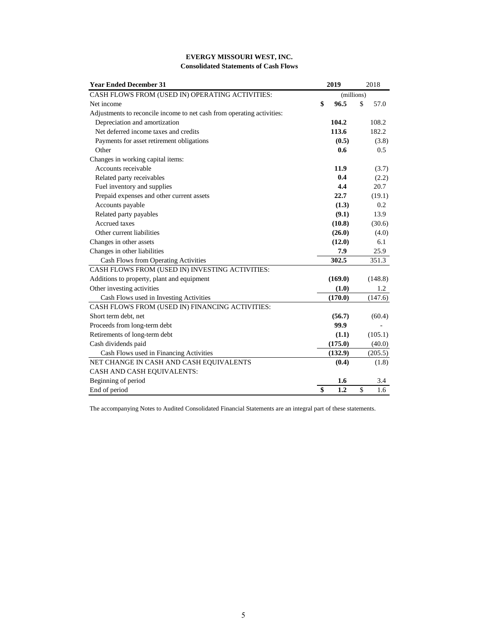| <b>EVERGY MISSOURI WEST, INC.</b>            |  |
|----------------------------------------------|--|
| <b>Consolidated Statements of Cash Flows</b> |  |

| <b>Year Ended December 31</b>                                          | 2019       |               | 2018    |
|------------------------------------------------------------------------|------------|---------------|---------|
| CASH FLOWS FROM (USED IN) OPERATING ACTIVITIES:                        | (millions) |               |         |
| Net income                                                             | \$<br>96.5 | $\mathcal{S}$ | 57.0    |
| Adjustments to reconcile income to net cash from operating activities: |            |               |         |
| Depreciation and amortization                                          | 104.2      |               | 108.2   |
| Net deferred income taxes and credits                                  | 113.6      |               | 182.2   |
| Payments for asset retirement obligations                              | (0.5)      |               | (3.8)   |
| Other                                                                  | 0.6        |               | 0.5     |
| Changes in working capital items:                                      |            |               |         |
| Accounts receivable                                                    | 11.9       |               | (3.7)   |
| Related party receivables                                              | 0.4        |               | (2.2)   |
| Fuel inventory and supplies                                            | 4.4        |               | 20.7    |
| Prepaid expenses and other current assets                              | 22.7       |               | (19.1)  |
| Accounts payable                                                       | (1.3)      |               | 0.2     |
| Related party payables                                                 | (9.1)      |               | 13.9    |
| Accrued taxes                                                          | (10.8)     |               | (30.6)  |
| Other current liabilities                                              | (26.0)     |               | (4.0)   |
| Changes in other assets                                                | (12.0)     |               | 6.1     |
| Changes in other liabilities                                           | 7.9        |               | 25.9    |
| Cash Flows from Operating Activities                                   | 302.5      |               | 351.3   |
| CASH FLOWS FROM (USED IN) INVESTING ACTIVITIES:                        |            |               |         |
| Additions to property, plant and equipment                             | (169.0)    |               | (148.8) |
| Other investing activities                                             | (1.0)      |               | 1.2     |
| Cash Flows used in Investing Activities                                | (170.0)    |               | (147.6) |
| CASH FLOWS FROM (USED IN) FINANCING ACTIVITIES:                        |            |               |         |
| Short term debt, net                                                   | (56.7)     |               | (60.4)  |
| Proceeds from long-term debt                                           | 99.9       |               |         |
| Retirements of long-term debt                                          | (1.1)      |               | (105.1) |
| Cash dividends paid                                                    | (175.0)    |               | (40.0)  |
| Cash Flows used in Financing Activities                                | (132.9)    |               | (205.5) |
| NET CHANGE IN CASH AND CASH EQUIVALENTS                                | (0.4)      |               | (1.8)   |
| CASH AND CASH EQUIVALENTS:                                             |            |               |         |
| Beginning of period                                                    | 1.6        |               | 3.4     |
| End of period                                                          | \$<br>1.2  | $\mathbb{S}$  | 1.6     |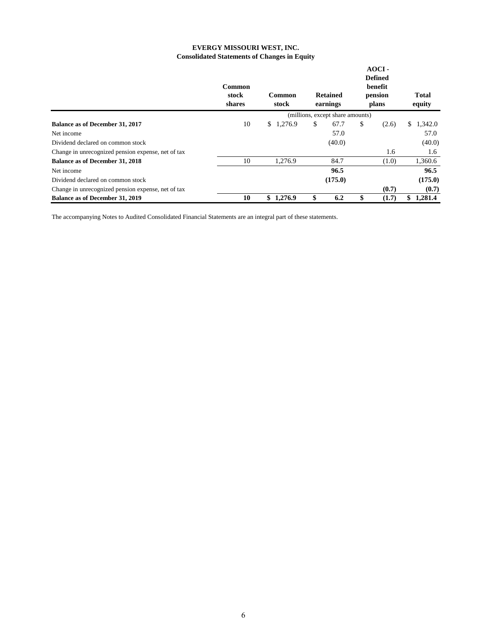# **EVERGY MISSOURI WEST, INC. Consolidated Statements of Changes in Equity**

|                                                    | Common<br>stock<br>shares | Common<br>stock                  | <b>Retained</b><br>earnings |         | $AOCI -$<br><b>Defined</b><br>benefit<br>pension<br>plans |       | <b>Total</b><br>equity |         |  |
|----------------------------------------------------|---------------------------|----------------------------------|-----------------------------|---------|-----------------------------------------------------------|-------|------------------------|---------|--|
|                                                    |                           | (millions, except share amounts) |                             |         |                                                           |       |                        |         |  |
| <b>Balance as of December 31, 2017</b>             | 10                        | \$1,276.9                        | \$                          | 67.7    | \$                                                        | (2.6) | \$                     | 1,342.0 |  |
| Net income                                         |                           |                                  |                             | 57.0    |                                                           |       |                        | 57.0    |  |
| Dividend declared on common stock                  |                           |                                  |                             | (40.0)  |                                                           |       |                        | (40.0)  |  |
| Change in unrecognized pension expense, net of tax |                           |                                  |                             |         |                                                           | 1.6   |                        | 1.6     |  |
| <b>Balance as of December 31, 2018</b>             | 10                        | 1,276.9                          |                             | 84.7    |                                                           | (1.0) |                        | 1,360.6 |  |
| Net income                                         |                           |                                  |                             | 96.5    |                                                           |       |                        | 96.5    |  |
| Dividend declared on common stock                  |                           |                                  |                             | (175.0) |                                                           |       |                        | (175.0) |  |
| Change in unrecognized pension expense, net of tax |                           |                                  |                             |         |                                                           | (0.7) |                        | (0.7)   |  |
| <b>Balance as of December 31, 2019</b>             | 10                        | \$<br>1,276.9                    | \$                          | 6.2     | \$                                                        | (1.7) | \$                     | 1,281.4 |  |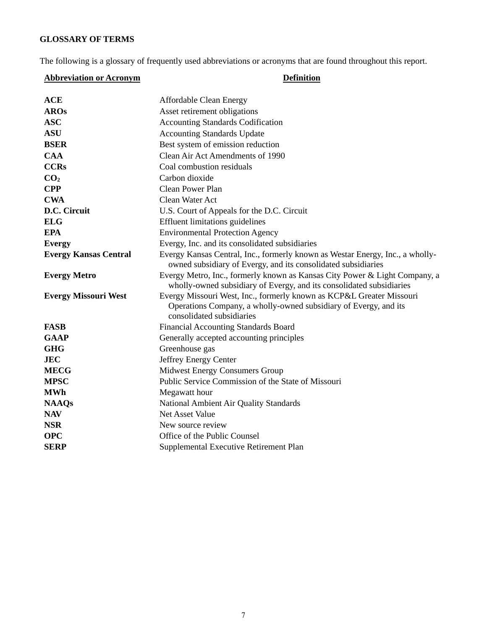# **GLOSSARY OF TERMS**

The following is a glossary of frequently used abbreviations or acronyms that are found throughout this report.

# **Abbreviation or Acronym Definition**

| <b>ACE</b>                   | <b>Affordable Clean Energy</b>                                                                                                                                        |
|------------------------------|-----------------------------------------------------------------------------------------------------------------------------------------------------------------------|
| <b>AROs</b>                  | Asset retirement obligations                                                                                                                                          |
| <b>ASC</b>                   | <b>Accounting Standards Codification</b>                                                                                                                              |
| <b>ASU</b>                   | <b>Accounting Standards Update</b>                                                                                                                                    |
| <b>BSER</b>                  | Best system of emission reduction                                                                                                                                     |
| <b>CAA</b>                   | Clean Air Act Amendments of 1990                                                                                                                                      |
| <b>CCRs</b>                  | Coal combustion residuals                                                                                                                                             |
| CO <sub>2</sub>              | Carbon dioxide                                                                                                                                                        |
| <b>CPP</b>                   | <b>Clean Power Plan</b>                                                                                                                                               |
| <b>CWA</b>                   | Clean Water Act                                                                                                                                                       |
| D.C. Circuit                 | U.S. Court of Appeals for the D.C. Circuit                                                                                                                            |
| <b>ELG</b>                   | <b>Effluent limitations guidelines</b>                                                                                                                                |
| <b>EPA</b>                   | <b>Environmental Protection Agency</b>                                                                                                                                |
| <b>Evergy</b>                | Evergy, Inc. and its consolidated subsidiaries                                                                                                                        |
| <b>Evergy Kansas Central</b> | Evergy Kansas Central, Inc., formerly known as Westar Energy, Inc., a wholly-<br>owned subsidiary of Evergy, and its consolidated subsidiaries                        |
| <b>Evergy Metro</b>          | Evergy Metro, Inc., formerly known as Kansas City Power & Light Company, a<br>wholly-owned subsidiary of Evergy, and its consolidated subsidiaries                    |
| <b>Evergy Missouri West</b>  | Evergy Missouri West, Inc., formerly known as KCP&L Greater Missouri<br>Operations Company, a wholly-owned subsidiary of Evergy, and its<br>consolidated subsidiaries |
| <b>FASB</b>                  | <b>Financial Accounting Standards Board</b>                                                                                                                           |
| <b>GAAP</b>                  | Generally accepted accounting principles                                                                                                                              |
| <b>GHG</b>                   | Greenhouse gas                                                                                                                                                        |
| <b>JEC</b>                   | Jeffrey Energy Center                                                                                                                                                 |
| <b>MECG</b>                  | <b>Midwest Energy Consumers Group</b>                                                                                                                                 |
| <b>MPSC</b>                  | Public Service Commission of the State of Missouri                                                                                                                    |
| <b>MWh</b>                   | Megawatt hour                                                                                                                                                         |
| <b>NAAQs</b>                 | National Ambient Air Quality Standards                                                                                                                                |
| <b>NAV</b>                   | <b>Net Asset Value</b>                                                                                                                                                |
| <b>NSR</b>                   | New source review                                                                                                                                                     |
| <b>OPC</b>                   | Office of the Public Counsel                                                                                                                                          |
| <b>SERP</b>                  | Supplemental Executive Retirement Plan                                                                                                                                |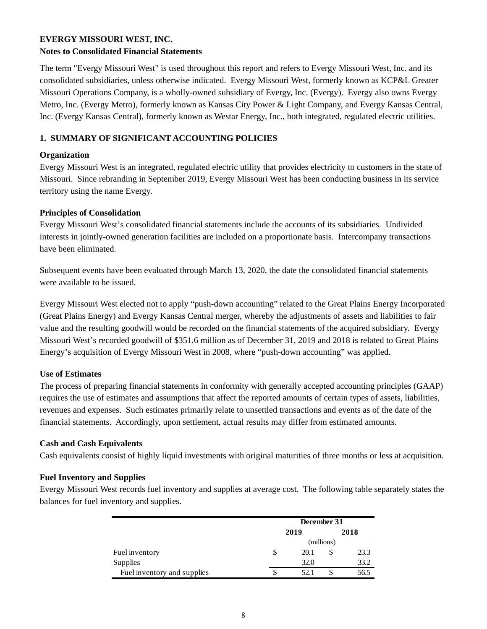# **EVERGY MISSOURI WEST, INC.**

# **Notes to Consolidated Financial Statements**

The term "Evergy Missouri West" is used throughout this report and refers to Evergy Missouri West, Inc. and its consolidated subsidiaries, unless otherwise indicated. Evergy Missouri West, formerly known as KCP&L Greater Missouri Operations Company, is a wholly-owned subsidiary of Evergy, Inc. (Evergy). Evergy also owns Evergy Metro, Inc. (Evergy Metro), formerly known as Kansas City Power & Light Company, and Evergy Kansas Central, Inc. (Evergy Kansas Central), formerly known as Westar Energy, Inc., both integrated, regulated electric utilities.

# **1. SUMMARY OF SIGNIFICANT ACCOUNTING POLICIES**

# **Organization**

Evergy Missouri West is an integrated, regulated electric utility that provides electricity to customers in the state of Missouri. Since rebranding in September 2019, Evergy Missouri West has been conducting business in its service territory using the name Evergy.

# **Principles of Consolidation**

Evergy Missouri West's consolidated financial statements include the accounts of its subsidiaries. Undivided interests in jointly-owned generation facilities are included on a proportionate basis. Intercompany transactions have been eliminated.

Subsequent events have been evaluated through March 13, 2020, the date the consolidated financial statements were available to be issued.

Evergy Missouri West elected not to apply "push-down accounting" related to the Great Plains Energy Incorporated (Great Plains Energy) and Evergy Kansas Central merger, whereby the adjustments of assets and liabilities to fair value and the resulting goodwill would be recorded on the financial statements of the acquired subsidiary. Evergy Missouri West's recorded goodwill of \$351.6 million as of December 31, 2019 and 2018 is related to Great Plains Energy's acquisition of Evergy Missouri West in 2008, where "push-down accounting" was applied.

# **Use of Estimates**

The process of preparing financial statements in conformity with generally accepted accounting principles (GAAP) requires the use of estimates and assumptions that affect the reported amounts of certain types of assets, liabilities, revenues and expenses. Such estimates primarily relate to unsettled transactions and events as of the date of the financial statements. Accordingly, upon settlement, actual results may differ from estimated amounts.

# **Cash and Cash Equivalents**

Cash equivalents consist of highly liquid investments with original maturities of three months or less at acquisition.

# **Fuel Inventory and Supplies**

Evergy Missouri West records fuel inventory and supplies at average cost. The following table separately states the balances for fuel inventory and supplies.

|                             | December 31 |  |      |  |  |
|-----------------------------|-------------|--|------|--|--|
|                             | 2019        |  | 2018 |  |  |
|                             | (millions)  |  |      |  |  |
| Fuel inventory              | \$<br>20.1  |  | 23.3 |  |  |
| <b>Supplies</b>             | 32.0        |  | 33.2 |  |  |
| Fuel inventory and supplies | 52.1        |  | 56.5 |  |  |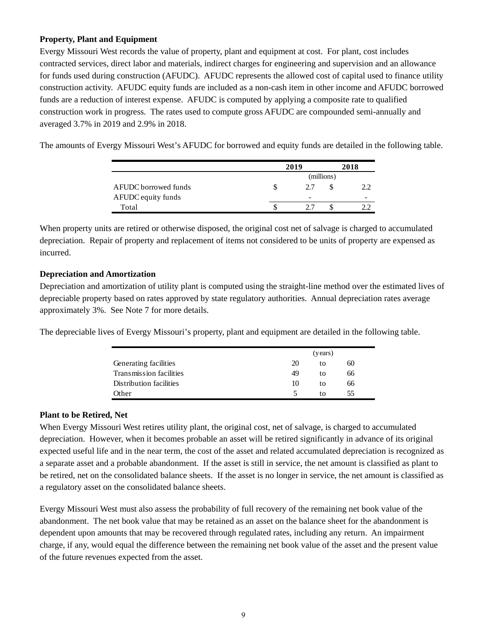# **Property, Plant and Equipment**

Evergy Missouri West records the value of property, plant and equipment at cost. For plant, cost includes contracted services, direct labor and materials, indirect charges for engineering and supervision and an allowance for funds used during construction (AFUDC). AFUDC represents the allowed cost of capital used to finance utility construction activity. AFUDC equity funds are included as a non-cash item in other income and AFUDC borrowed funds are a reduction of interest expense. AFUDC is computed by applying a composite rate to qualified construction work in progress. The rates used to compute gross AFUDC are compounded semi-annually and averaged 3.7% in 2019 and 2.9% in 2018.

The amounts of Evergy Missouri West's AFUDC for borrowed and equity funds are detailed in the following table.

|                      | 2019            | 2018       |   |  |
|----------------------|-----------------|------------|---|--|
|                      |                 | (millions) |   |  |
| AFUDC borrowed funds | 2.7             |            |   |  |
| AFUDC equity funds   | $\qquad \qquad$ |            | - |  |
| Total                |                 |            |   |  |

When property units are retired or otherwise disposed, the original cost net of salvage is charged to accumulated depreciation. Repair of property and replacement of items not considered to be units of property are expensed as incurred.

# **Depreciation and Amortization**

Depreciation and amortization of utility plant is computed using the straight-line method over the estimated lives of depreciable property based on rates approved by state regulatory authorities. Annual depreciation rates average approximately 3%. See Note 7 for more details.

The depreciable lives of Evergy Missouri's property, plant and equipment are detailed in the following table.

|                         | (years) |    |    |  |
|-------------------------|---------|----|----|--|
| Generating facilities   | 20      | tο | 60 |  |
| Transmission facilities | 49      | tο | 66 |  |
| Distribution facilities | 10      | tο | 66 |  |
| Other                   | ↖       | tΩ | 55 |  |

# **Plant to be Retired, Net**

When Evergy Missouri West retires utility plant, the original cost, net of salvage, is charged to accumulated depreciation. However, when it becomes probable an asset will be retired significantly in advance of its original expected useful life and in the near term, the cost of the asset and related accumulated depreciation is recognized as a separate asset and a probable abandonment. If the asset is still in service, the net amount is classified as plant to be retired, net on the consolidated balance sheets. If the asset is no longer in service, the net amount is classified as a regulatory asset on the consolidated balance sheets.

Evergy Missouri West must also assess the probability of full recovery of the remaining net book value of the abandonment. The net book value that may be retained as an asset on the balance sheet for the abandonment is dependent upon amounts that may be recovered through regulated rates, including any return. An impairment charge, if any, would equal the difference between the remaining net book value of the asset and the present value of the future revenues expected from the asset.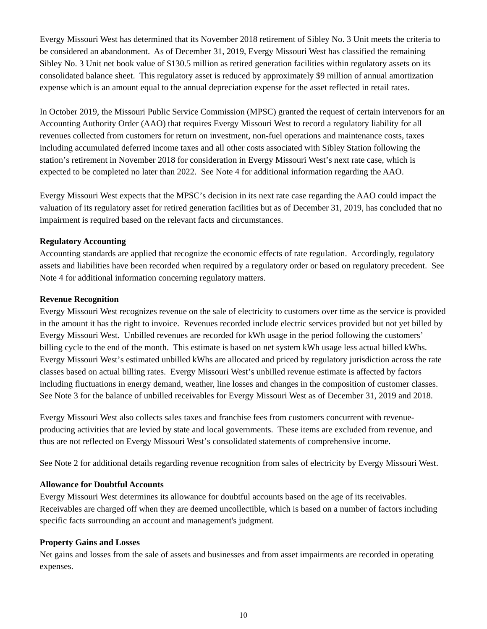Evergy Missouri West has determined that its November 2018 retirement of Sibley No. 3 Unit meets the criteria to be considered an abandonment. As of December 31, 2019, Evergy Missouri West has classified the remaining Sibley No. 3 Unit net book value of \$130.5 million as retired generation facilities within regulatory assets on its consolidated balance sheet. This regulatory asset is reduced by approximately \$9 million of annual amortization expense which is an amount equal to the annual depreciation expense for the asset reflected in retail rates.

In October 2019, the Missouri Public Service Commission (MPSC) granted the request of certain intervenors for an Accounting Authority Order (AAO) that requires Evergy Missouri West to record a regulatory liability for all revenues collected from customers for return on investment, non-fuel operations and maintenance costs, taxes including accumulated deferred income taxes and all other costs associated with Sibley Station following the station's retirement in November 2018 for consideration in Evergy Missouri West's next rate case, which is expected to be completed no later than 2022. See Note 4 for additional information regarding the AAO.

Evergy Missouri West expects that the MPSC's decision in its next rate case regarding the AAO could impact the valuation of its regulatory asset for retired generation facilities but as of December 31, 2019, has concluded that no impairment is required based on the relevant facts and circumstances.

# **Regulatory Accounting**

Accounting standards are applied that recognize the economic effects of rate regulation. Accordingly, regulatory assets and liabilities have been recorded when required by a regulatory order or based on regulatory precedent. See Note 4 for additional information concerning regulatory matters.

# **Revenue Recognition**

Evergy Missouri West recognizes revenue on the sale of electricity to customers over time as the service is provided in the amount it has the right to invoice. Revenues recorded include electric services provided but not yet billed by Evergy Missouri West. Unbilled revenues are recorded for kWh usage in the period following the customers' billing cycle to the end of the month. This estimate is based on net system kWh usage less actual billed kWhs. Evergy Missouri West's estimated unbilled kWhs are allocated and priced by regulatory jurisdiction across the rate classes based on actual billing rates. Evergy Missouri West's unbilled revenue estimate is affected by factors including fluctuations in energy demand, weather, line losses and changes in the composition of customer classes. See Note 3 for the balance of unbilled receivables for Evergy Missouri West as of December 31, 2019 and 2018.

Evergy Missouri West also collects sales taxes and franchise fees from customers concurrent with revenueproducing activities that are levied by state and local governments. These items are excluded from revenue, and thus are not reflected on Evergy Missouri West's consolidated statements of comprehensive income.

See Note 2 for additional details regarding revenue recognition from sales of electricity by Evergy Missouri West.

# **Allowance for Doubtful Accounts**

Evergy Missouri West determines its allowance for doubtful accounts based on the age of its receivables. Receivables are charged off when they are deemed uncollectible, which is based on a number of factors including specific facts surrounding an account and management's judgment.

# **Property Gains and Losses**

Net gains and losses from the sale of assets and businesses and from asset impairments are recorded in operating expenses.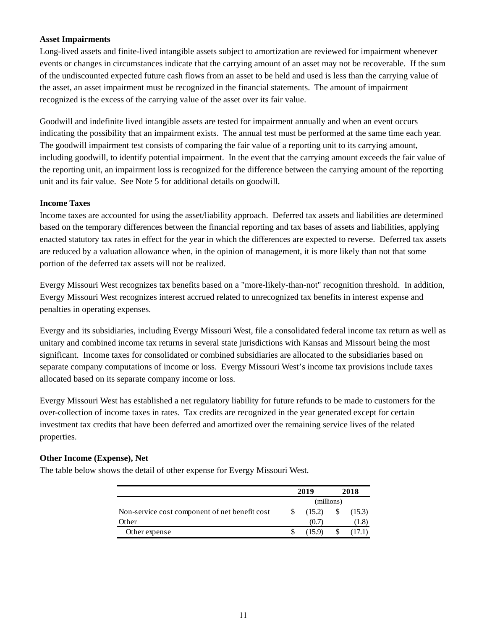# **Asset Impairments**

Long-lived assets and finite-lived intangible assets subject to amortization are reviewed for impairment whenever events or changes in circumstances indicate that the carrying amount of an asset may not be recoverable. If the sum of the undiscounted expected future cash flows from an asset to be held and used is less than the carrying value of the asset, an asset impairment must be recognized in the financial statements. The amount of impairment recognized is the excess of the carrying value of the asset over its fair value.

Goodwill and indefinite lived intangible assets are tested for impairment annually and when an event occurs indicating the possibility that an impairment exists. The annual test must be performed at the same time each year. The goodwill impairment test consists of comparing the fair value of a reporting unit to its carrying amount, including goodwill, to identify potential impairment. In the event that the carrying amount exceeds the fair value of the reporting unit, an impairment loss is recognized for the difference between the carrying amount of the reporting unit and its fair value. See Note 5 for additional details on goodwill.

# **Income Taxes**

Income taxes are accounted for using the asset/liability approach. Deferred tax assets and liabilities are determined based on the temporary differences between the financial reporting and tax bases of assets and liabilities, applying enacted statutory tax rates in effect for the year in which the differences are expected to reverse. Deferred tax assets are reduced by a valuation allowance when, in the opinion of management, it is more likely than not that some portion of the deferred tax assets will not be realized.

Evergy Missouri West recognizes tax benefits based on a "more-likely-than-not" recognition threshold. In addition, Evergy Missouri West recognizes interest accrued related to unrecognized tax benefits in interest expense and penalties in operating expenses.

Evergy and its subsidiaries, including Evergy Missouri West, file a consolidated federal income tax return as well as unitary and combined income tax returns in several state jurisdictions with Kansas and Missouri being the most significant. Income taxes for consolidated or combined subsidiaries are allocated to the subsidiaries based on separate company computations of income or loss. Evergy Missouri West's income tax provisions include taxes allocated based on its separate company income or loss.

Evergy Missouri West has established a net regulatory liability for future refunds to be made to customers for the over-collection of income taxes in rates. Tax credits are recognized in the year generated except for certain investment tax credits that have been deferred and amortized over the remaining service lives of the related properties.

# **Other Income (Expense), Net**

|                                                |            | 2019   | 2018 |                |  |
|------------------------------------------------|------------|--------|------|----------------|--|
|                                                | (millions) |        |      |                |  |
| Non-service cost component of net benefit cost |            | (15.2) |      | (15.3)         |  |
| Other                                          |            | (0.7)  |      | $.1.8^{\circ}$ |  |
| Other expense                                  |            |        |      |                |  |

The table below shows the detail of other expense for Evergy Missouri West.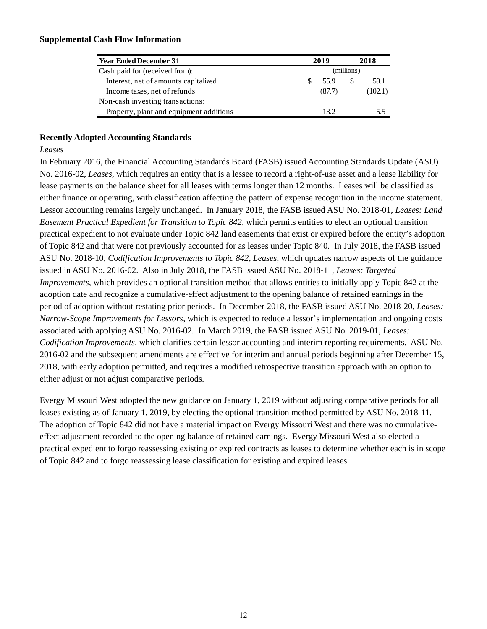# **Supplemental Cash Flow Information**

| Year Ended December 31                  | 2019       |        |              | 2018    |
|-----------------------------------------|------------|--------|--------------|---------|
| Cash paid for (received from):          | (millions) |        |              |         |
| Interest, net of amounts capitalized    |            | 55.9   | <sup>8</sup> | 59.1    |
| Income taxes, net of refunds            |            | (87.7) |              | (102.1) |
| Non-cash investing transactions:        |            |        |              |         |
| Property, plant and equipment additions |            | 13.2   |              | 5.5     |

# **Recently Adopted Accounting Standards**

# *Leases*

In February 2016, the Financial Accounting Standards Board (FASB) issued Accounting Standards Update (ASU) No. 2016-02, *Leases*, which requires an entity that is a lessee to record a right-of-use asset and a lease liability for lease payments on the balance sheet for all leases with terms longer than 12 months. Leases will be classified as either finance or operating, with classification affecting the pattern of expense recognition in the income statement. Lessor accounting remains largely unchanged. In January 2018, the FASB issued ASU No. 2018-01, *Leases: Land Easement Practical Expedient for Transition to Topic 842*, which permits entities to elect an optional transition practical expedient to not evaluate under Topic 842 land easements that exist or expired before the entity's adoption of Topic 842 and that were not previously accounted for as leases under Topic 840. In July 2018, the FASB issued ASU No. 2018-10, *Codification Improvements to Topic 842, Leases*, which updates narrow aspects of the guidance issued in ASU No. 2016-02. Also in July 2018, the FASB issued ASU No. 2018-11, *Leases: Targeted Improvements*, which provides an optional transition method that allows entities to initially apply Topic 842 at the adoption date and recognize a cumulative-effect adjustment to the opening balance of retained earnings in the period of adoption without restating prior periods. In December 2018, the FASB issued ASU No. 2018-20, *Leases: Narrow-Scope Improvements for Lessors*, which is expected to reduce a lessor's implementation and ongoing costs associated with applying ASU No. 2016-02. In March 2019, the FASB issued ASU No. 2019-01, *Leases: Codification Improvements,* which clarifies certain lessor accounting and interim reporting requirements. ASU No. 2016-02 and the subsequent amendments are effective for interim and annual periods beginning after December 15, 2018, with early adoption permitted, and requires a modified retrospective transition approach with an option to either adjust or not adjust comparative periods.

Evergy Missouri West adopted the new guidance on January 1, 2019 without adjusting comparative periods for all leases existing as of January 1, 2019, by electing the optional transition method permitted by ASU No. 2018-11. The adoption of Topic 842 did not have a material impact on Evergy Missouri West and there was no cumulativeeffect adjustment recorded to the opening balance of retained earnings. Evergy Missouri West also elected a practical expedient to forgo reassessing existing or expired contracts as leases to determine whether each is in scope of Topic 842 and to forgo reassessing lease classification for existing and expired leases.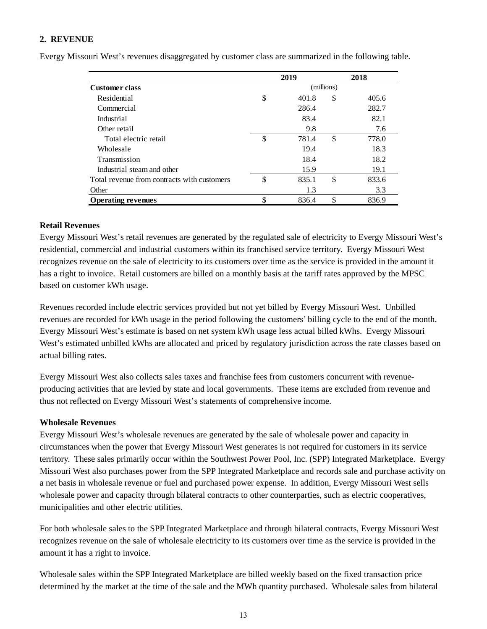# **2. REVENUE**

|                                             |    | 2019  |    | 2018  |
|---------------------------------------------|----|-------|----|-------|
| (millions)<br><b>Customer class</b>         |    |       |    |       |
| Residential                                 | \$ | 401.8 | \$ | 405.6 |
| Commercial                                  |    | 286.4 |    | 282.7 |
| Industrial                                  |    | 83.4  |    | 82.1  |
| Other retail                                |    | 9.8   |    | 7.6   |
| Total electric retail                       | \$ | 781.4 | \$ | 778.0 |
| Wholesale                                   |    | 19.4  |    | 18.3  |
| Transmission                                |    | 18.4  |    | 18.2  |
| Industrial steam and other                  |    | 15.9  |    | 19.1  |
| Total revenue from contracts with customers | \$ | 835.1 | \$ | 833.6 |
| Other                                       |    | 1.3   |    | 3.3   |
| <b>Operating revenues</b>                   | \$ | 836.4 | \$ | 836.9 |

Evergy Missouri West's revenues disaggregated by customer class are summarized in the following table.

# **Retail Revenues**

Evergy Missouri West's retail revenues are generated by the regulated sale of electricity to Evergy Missouri West's residential, commercial and industrial customers within its franchised service territory. Evergy Missouri West recognizes revenue on the sale of electricity to its customers over time as the service is provided in the amount it has a right to invoice. Retail customers are billed on a monthly basis at the tariff rates approved by the MPSC based on customer kWh usage.

Revenues recorded include electric services provided but not yet billed by Evergy Missouri West. Unbilled revenues are recorded for kWh usage in the period following the customers' billing cycle to the end of the month. Evergy Missouri West's estimate is based on net system kWh usage less actual billed kWhs. Evergy Missouri West's estimated unbilled kWhs are allocated and priced by regulatory jurisdiction across the rate classes based on actual billing rates.

Evergy Missouri West also collects sales taxes and franchise fees from customers concurrent with revenueproducing activities that are levied by state and local governments. These items are excluded from revenue and thus not reflected on Evergy Missouri West's statements of comprehensive income.

# **Wholesale Revenues**

Evergy Missouri West's wholesale revenues are generated by the sale of wholesale power and capacity in circumstances when the power that Evergy Missouri West generates is not required for customers in its service territory. These sales primarily occur within the Southwest Power Pool, Inc. (SPP) Integrated Marketplace. Evergy Missouri West also purchases power from the SPP Integrated Marketplace and records sale and purchase activity on a net basis in wholesale revenue or fuel and purchased power expense. In addition, Evergy Missouri West sells wholesale power and capacity through bilateral contracts to other counterparties, such as electric cooperatives, municipalities and other electric utilities.

For both wholesale sales to the SPP Integrated Marketplace and through bilateral contracts, Evergy Missouri West recognizes revenue on the sale of wholesale electricity to its customers over time as the service is provided in the amount it has a right to invoice.

Wholesale sales within the SPP Integrated Marketplace are billed weekly based on the fixed transaction price determined by the market at the time of the sale and the MWh quantity purchased. Wholesale sales from bilateral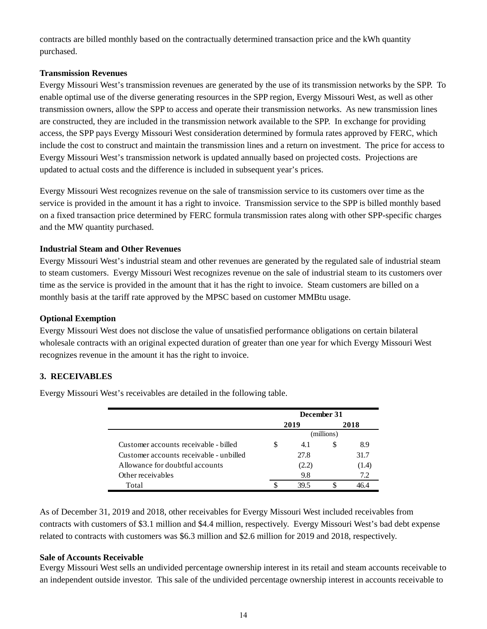contracts are billed monthly based on the contractually determined transaction price and the kWh quantity purchased.

# **Transmission Revenues**

Evergy Missouri West's transmission revenues are generated by the use of its transmission networks by the SPP. To enable optimal use of the diverse generating resources in the SPP region, Evergy Missouri West, as well as other transmission owners, allow the SPP to access and operate their transmission networks. As new transmission lines are constructed, they are included in the transmission network available to the SPP. In exchange for providing access, the SPP pays Evergy Missouri West consideration determined by formula rates approved by FERC, which include the cost to construct and maintain the transmission lines and a return on investment. The price for access to Evergy Missouri West's transmission network is updated annually based on projected costs. Projections are updated to actual costs and the difference is included in subsequent year's prices.

Evergy Missouri West recognizes revenue on the sale of transmission service to its customers over time as the service is provided in the amount it has a right to invoice. Transmission service to the SPP is billed monthly based on a fixed transaction price determined by FERC formula transmission rates along with other SPP-specific charges and the MW quantity purchased.

# **Industrial Steam and Other Revenues**

Evergy Missouri West's industrial steam and other revenues are generated by the regulated sale of industrial steam to steam customers. Evergy Missouri West recognizes revenue on the sale of industrial steam to its customers over time as the service is provided in the amount that it has the right to invoice. Steam customers are billed on a monthly basis at the tariff rate approved by the MPSC based on customer MMBtu usage.

# **Optional Exemption**

Evergy Missouri West does not disclose the value of unsatisfied performance obligations on certain bilateral wholesale contracts with an original expected duration of greater than one year for which Evergy Missouri West recognizes revenue in the amount it has the right to invoice.

# **3. RECEIVABLES**

Evergy Missouri West's receivables are detailed in the following table.

|                                         |            | December 31 |   |       |  |  |
|-----------------------------------------|------------|-------------|---|-------|--|--|
|                                         |            | 2019        |   | 2018  |  |  |
|                                         | (millions) |             |   |       |  |  |
| Customer accounts receivable - billed   | S          | 4.1         | S | 8.9   |  |  |
| Customer accounts receivable - unbilled |            | 27.8        |   | 31.7  |  |  |
| Allowance for doubtful accounts         |            | (2.2)       |   | (1.4) |  |  |
| Other receivables                       |            | 9.8         |   | 7.2   |  |  |
| Total                                   |            | 39.5        |   | 46 4  |  |  |

As of December 31, 2019 and 2018, other receivables for Evergy Missouri West included receivables from contracts with customers of \$3.1 million and \$4.4 million, respectively. Evergy Missouri West's bad debt expense related to contracts with customers was \$6.3 million and \$2.6 million for 2019 and 2018, respectively.

# **Sale of Accounts Receivable**

Evergy Missouri West sells an undivided percentage ownership interest in its retail and steam accounts receivable to an independent outside investor. This sale of the undivided percentage ownership interest in accounts receivable to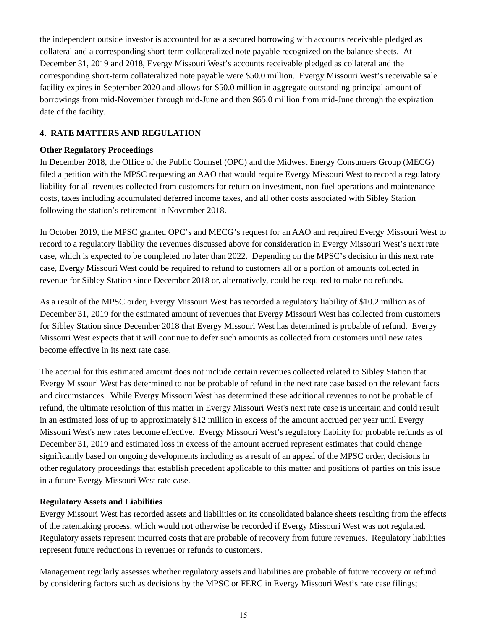the independent outside investor is accounted for as a secured borrowing with accounts receivable pledged as collateral and a corresponding short-term collateralized note payable recognized on the balance sheets. At December 31, 2019 and 2018, Evergy Missouri West's accounts receivable pledged as collateral and the corresponding short-term collateralized note payable were \$50.0 million. Evergy Missouri West's receivable sale facility expires in September 2020 and allows for \$50.0 million in aggregate outstanding principal amount of borrowings from mid-November through mid-June and then \$65.0 million from mid-June through the expiration date of the facility.

# **4. RATE MATTERS AND REGULATION**

# **Other Regulatory Proceedings**

In December 2018, the Office of the Public Counsel (OPC) and the Midwest Energy Consumers Group (MECG) filed a petition with the MPSC requesting an AAO that would require Evergy Missouri West to record a regulatory liability for all revenues collected from customers for return on investment, non-fuel operations and maintenance costs, taxes including accumulated deferred income taxes, and all other costs associated with Sibley Station following the station's retirement in November 2018.

In October 2019, the MPSC granted OPC's and MECG's request for an AAO and required Evergy Missouri West to record to a regulatory liability the revenues discussed above for consideration in Evergy Missouri West's next rate case, which is expected to be completed no later than 2022. Depending on the MPSC's decision in this next rate case, Evergy Missouri West could be required to refund to customers all or a portion of amounts collected in revenue for Sibley Station since December 2018 or, alternatively, could be required to make no refunds.

As a result of the MPSC order, Evergy Missouri West has recorded a regulatory liability of \$10.2 million as of December 31, 2019 for the estimated amount of revenues that Evergy Missouri West has collected from customers for Sibley Station since December 2018 that Evergy Missouri West has determined is probable of refund. Evergy Missouri West expects that it will continue to defer such amounts as collected from customers until new rates become effective in its next rate case.

The accrual for this estimated amount does not include certain revenues collected related to Sibley Station that Evergy Missouri West has determined to not be probable of refund in the next rate case based on the relevant facts and circumstances. While Evergy Missouri West has determined these additional revenues to not be probable of refund, the ultimate resolution of this matter in Evergy Missouri West's next rate case is uncertain and could result in an estimated loss of up to approximately \$12 million in excess of the amount accrued per year until Evergy Missouri West's new rates become effective. Evergy Missouri West's regulatory liability for probable refunds as of December 31, 2019 and estimated loss in excess of the amount accrued represent estimates that could change significantly based on ongoing developments including as a result of an appeal of the MPSC order, decisions in other regulatory proceedings that establish precedent applicable to this matter and positions of parties on this issue in a future Evergy Missouri West rate case.

# **Regulatory Assets and Liabilities**

Evergy Missouri West has recorded assets and liabilities on its consolidated balance sheets resulting from the effects of the ratemaking process, which would not otherwise be recorded if Evergy Missouri West was not regulated. Regulatory assets represent incurred costs that are probable of recovery from future revenues. Regulatory liabilities represent future reductions in revenues or refunds to customers.

Management regularly assesses whether regulatory assets and liabilities are probable of future recovery or refund by considering factors such as decisions by the MPSC or FERC in Evergy Missouri West's rate case filings;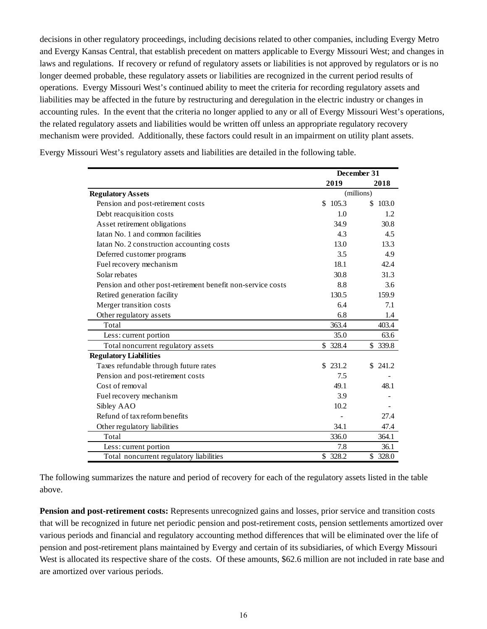decisions in other regulatory proceedings, including decisions related to other companies, including Evergy Metro and Evergy Kansas Central, that establish precedent on matters applicable to Evergy Missouri West; and changes in laws and regulations. If recovery or refund of regulatory assets or liabilities is not approved by regulators or is no longer deemed probable, these regulatory assets or liabilities are recognized in the current period results of operations. Evergy Missouri West's continued ability to meet the criteria for recording regulatory assets and liabilities may be affected in the future by restructuring and deregulation in the electric industry or changes in accounting rules. In the event that the criteria no longer applied to any or all of Evergy Missouri West's operations, the related regulatory assets and liabilities would be written off unless an appropriate regulatory recovery mechanism were provided. Additionally, these factors could result in an impairment on utility plant assets.

|                                                             | December 31 |            |  |
|-------------------------------------------------------------|-------------|------------|--|
|                                                             | 2019        | 2018       |  |
| <b>Regulatory Assets</b>                                    |             | (millions) |  |
| Pension and post-retirement costs                           | \$105.3     | \$103.0    |  |
| Debt reacquisition costs                                    | 1.0         | 1.2.       |  |
| Asset retirement obligations                                | 34.9        | 30.8       |  |
| Jatan No. 1 and common facilities                           | 4.3         | 4.5        |  |
| Iatan No. 2 construction accounting costs                   | 13.0        | 13.3       |  |
| Deferred customer programs                                  | 3.5         | 4.9        |  |
| Fuel recovery mechanism                                     | 18.1        | 42.4       |  |
| Solar rebates                                               | 30.8        | 31.3       |  |
| Pension and other post-retirement benefit non-service costs | 8.8         | 3.6        |  |
| Retired generation facility                                 | 130.5       | 159.9      |  |
| Merger transition costs                                     | 6.4         | 7.1        |  |
| Other regulatory assets                                     | 6.8         | 1.4        |  |
| Total                                                       | 363.4       | 403.4      |  |
| Less: current portion                                       | 35.0        | 63.6       |  |
| Total noncurrent regulatory assets                          | \$328.4     | \$339.8    |  |
| <b>Regulatory Liabilities</b>                               |             |            |  |
| Taxes refundable through future rates                       | \$231.2     | \$241.2    |  |
| Pension and post-retirement costs                           | 7.5         |            |  |
| Cost of removal                                             | 49.1        | 48.1       |  |
| Fuel recovery mechanism                                     | 3.9         |            |  |
| Sibley AAO                                                  | 10.2        |            |  |
| Refund of tax reform benefits                               |             | 27.4       |  |
| Other regulatory liabilities                                | 34.1        | 47.4       |  |
| Total                                                       | 336.0       | 364.1      |  |
| Less: current portion                                       | 7.8         | 36.1       |  |
| Total noncurrent regulatory liabilities                     | \$328.2     | \$328.0    |  |

Evergy Missouri West's regulatory assets and liabilities are detailed in the following table.

The following summarizes the nature and period of recovery for each of the regulatory assets listed in the table above.

**Pension and post-retirement costs:** Represents unrecognized gains and losses, prior service and transition costs that will be recognized in future net periodic pension and post-retirement costs, pension settlements amortized over various periods and financial and regulatory accounting method differences that will be eliminated over the life of pension and post-retirement plans maintained by Evergy and certain of its subsidiaries, of which Evergy Missouri West is allocated its respective share of the costs. Of these amounts, \$62.6 million are not included in rate base and are amortized over various periods.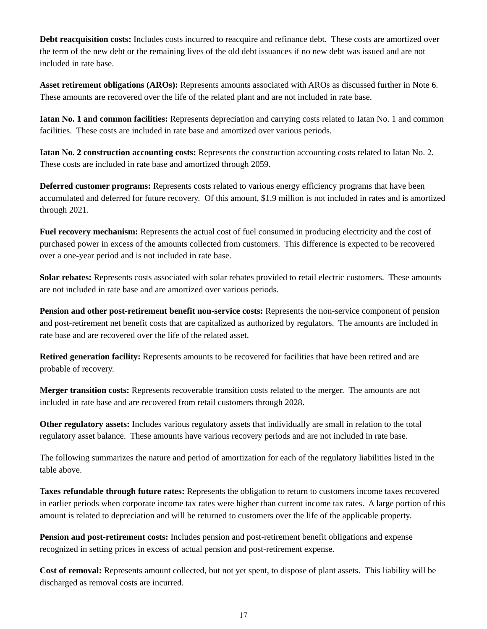**Debt reacquisition costs:** Includes costs incurred to reacquire and refinance debt. These costs are amortized over the term of the new debt or the remaining lives of the old debt issuances if no new debt was issued and are not included in rate base.

**Asset retirement obligations (AROs):** Represents amounts associated with AROs as discussed further in Note 6. These amounts are recovered over the life of the related plant and are not included in rate base.

**Iatan No. 1 and common facilities:** Represents depreciation and carrying costs related to Iatan No. 1 and common facilities. These costs are included in rate base and amortized over various periods.

**Iatan No. 2 construction accounting costs:** Represents the construction accounting costs related to Iatan No. 2. These costs are included in rate base and amortized through 2059.

**Deferred customer programs:** Represents costs related to various energy efficiency programs that have been accumulated and deferred for future recovery. Of this amount, \$1.9 million is not included in rates and is amortized through 2021.

**Fuel recovery mechanism:** Represents the actual cost of fuel consumed in producing electricity and the cost of purchased power in excess of the amounts collected from customers. This difference is expected to be recovered over a one-year period and is not included in rate base.

**Solar rebates:** Represents costs associated with solar rebates provided to retail electric customers. These amounts are not included in rate base and are amortized over various periods.

**Pension and other post-retirement benefit non-service costs:** Represents the non-service component of pension and post-retirement net benefit costs that are capitalized as authorized by regulators. The amounts are included in rate base and are recovered over the life of the related asset.

**Retired generation facility:** Represents amounts to be recovered for facilities that have been retired and are probable of recovery.

**Merger transition costs:** Represents recoverable transition costs related to the merger. The amounts are not included in rate base and are recovered from retail customers through 2028.

**Other regulatory assets:** Includes various regulatory assets that individually are small in relation to the total regulatory asset balance. These amounts have various recovery periods and are not included in rate base.

The following summarizes the nature and period of amortization for each of the regulatory liabilities listed in the table above.

**Taxes refundable through future rates:** Represents the obligation to return to customers income taxes recovered in earlier periods when corporate income tax rates were higher than current income tax rates. A large portion of this amount is related to depreciation and will be returned to customers over the life of the applicable property.

**Pension and post-retirement costs:** Includes pension and post-retirement benefit obligations and expense recognized in setting prices in excess of actual pension and post-retirement expense.

**Cost of removal:** Represents amount collected, but not yet spent, to dispose of plant assets. This liability will be discharged as removal costs are incurred.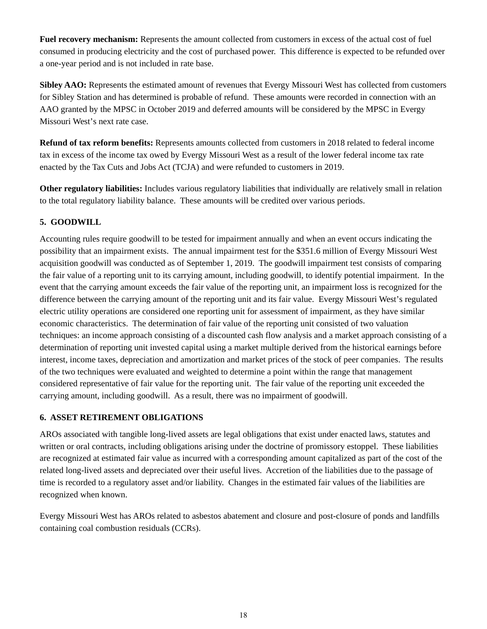**Fuel recovery mechanism:** Represents the amount collected from customers in excess of the actual cost of fuel consumed in producing electricity and the cost of purchased power. This difference is expected to be refunded over a one-year period and is not included in rate base.

**Sibley AAO:** Represents the estimated amount of revenues that Evergy Missouri West has collected from customers for Sibley Station and has determined is probable of refund. These amounts were recorded in connection with an AAO granted by the MPSC in October 2019 and deferred amounts will be considered by the MPSC in Evergy Missouri West's next rate case.

**Refund of tax reform benefits:** Represents amounts collected from customers in 2018 related to federal income tax in excess of the income tax owed by Evergy Missouri West as a result of the lower federal income tax rate enacted by the Tax Cuts and Jobs Act (TCJA) and were refunded to customers in 2019.

**Other regulatory liabilities:** Includes various regulatory liabilities that individually are relatively small in relation to the total regulatory liability balance. These amounts will be credited over various periods.

# **5. GOODWILL**

Accounting rules require goodwill to be tested for impairment annually and when an event occurs indicating the possibility that an impairment exists. The annual impairment test for the \$351.6 million of Evergy Missouri West acquisition goodwill was conducted as of September 1, 2019. The goodwill impairment test consists of comparing the fair value of a reporting unit to its carrying amount, including goodwill, to identify potential impairment. In the event that the carrying amount exceeds the fair value of the reporting unit, an impairment loss is recognized for the difference between the carrying amount of the reporting unit and its fair value. Evergy Missouri West's regulated electric utility operations are considered one reporting unit for assessment of impairment, as they have similar economic characteristics. The determination of fair value of the reporting unit consisted of two valuation techniques: an income approach consisting of a discounted cash flow analysis and a market approach consisting of a determination of reporting unit invested capital using a market multiple derived from the historical earnings before interest, income taxes, depreciation and amortization and market prices of the stock of peer companies. The results of the two techniques were evaluated and weighted to determine a point within the range that management considered representative of fair value for the reporting unit. The fair value of the reporting unit exceeded the carrying amount, including goodwill. As a result, there was no impairment of goodwill.

# **6. ASSET RETIREMENT OBLIGATIONS**

AROs associated with tangible long-lived assets are legal obligations that exist under enacted laws, statutes and written or oral contracts, including obligations arising under the doctrine of promissory estoppel. These liabilities are recognized at estimated fair value as incurred with a corresponding amount capitalized as part of the cost of the related long-lived assets and depreciated over their useful lives. Accretion of the liabilities due to the passage of time is recorded to a regulatory asset and/or liability. Changes in the estimated fair values of the liabilities are recognized when known.

Evergy Missouri West has AROs related to asbestos abatement and closure and post-closure of ponds and landfills containing coal combustion residuals (CCRs).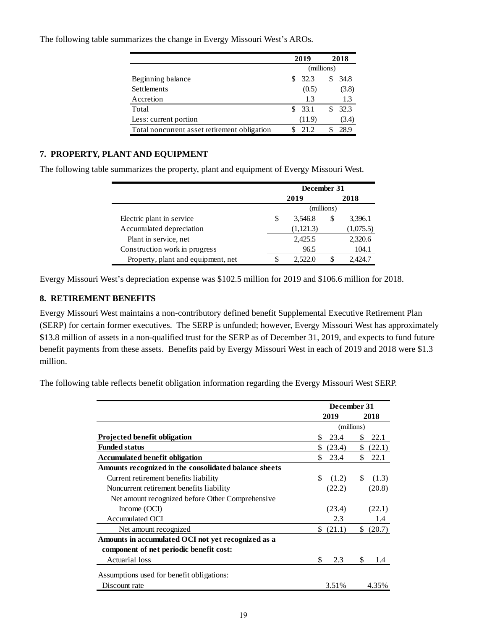|                                              | 2019       | 2018  |  |  |
|----------------------------------------------|------------|-------|--|--|
|                                              | (millions) |       |  |  |
| Beginning balance                            | 32.3       | 34.8  |  |  |
| Settlements                                  | (0.5)      | (3.8) |  |  |
| Accretion                                    | 1.3        | 1.3   |  |  |
| Total                                        | 33.1<br>S. | 32.3  |  |  |
| Less: current portion                        | (11.9)     | (3.4) |  |  |
| Total noncurrent asset retirement obligation | 21.2       | 28.9  |  |  |

The following table summarizes the change in Evergy Missouri West's AROs.

# **7. PROPERTY, PLANT AND EQUIPMENT**

The following table summarizes the property, plant and equipment of Evergy Missouri West.

|                                    | December 31   |    |           |  |  |
|------------------------------------|---------------|----|-----------|--|--|
|                                    | 2019          |    | 2018      |  |  |
|                                    | (millions)    |    |           |  |  |
| Electric plant in service          | \$<br>3,546.8 | S  | 3,396.1   |  |  |
| Accumulated depreciation           | (1,121.3)     |    | (1,075.5) |  |  |
| Plant in service, net              | 2,425.5       |    | 2,320.6   |  |  |
| Construction work in progress      | 96.5          |    | 104.1     |  |  |
| Property, plant and equipment, net | 2.522.0       | S. | 2.424.7   |  |  |

Evergy Missouri West's depreciation expense was \$102.5 million for 2019 and \$106.6 million for 2018.

# **8. RETIREMENT BENEFITS**

Evergy Missouri West maintains a non-contributory defined benefit Supplemental Executive Retirement Plan (SERP) for certain former executives. The SERP is unfunded; however, Evergy Missouri West has approximately \$13.8 million of assets in a non-qualified trust for the SERP as of December 31, 2019, and expects to fund future benefit payments from these assets. Benefits paid by Evergy Missouri West in each of 2019 and 2018 were \$1.3 million.

The following table reflects benefit obligation information regarding the Evergy Missouri West SERP.

|                                                       | December 31 |        |            |           |
|-------------------------------------------------------|-------------|--------|------------|-----------|
|                                                       |             | 2019   |            | 2018      |
|                                                       |             |        | (millions) |           |
| <b>Projected benefit obligation</b>                   | \$          | 23.4   | S          | 22.1      |
| <b>Funded status</b>                                  | \$.         | (23.4) |            | \$ (22.1) |
| <b>Accumulated benefit obligation</b>                 | \$          | 23.4   | \$         | 22.1      |
| Amounts recognized in the consolidated balance sheets |             |        |            |           |
| Current retirement benefits liability                 | \$          | (1.2)  | \$         | (1.3)     |
| Noncurrent retirement benefits liability              |             | (22.2) |            | (20.8)    |
| Net amount recognized before Other Comprehensive      |             |        |            |           |
| Income $(OCI)$                                        |             | (23.4) |            | (22.1)    |
| <b>Accumulated OCI</b>                                |             | 2.3    |            | 1.4       |
| Net amount recognized                                 | S.          | (21.1) | S.         | (20.7)    |
| Amounts in accumulated OCI not yet recognized as a    |             |        |            |           |
| component of net periodic benefit cost:               |             |        |            |           |
| <b>Actuarial</b> loss                                 | \$          | 2.3    | \$         | 1.4       |
| Assumptions used for benefit obligations:             |             |        |            |           |
| Discount rate                                         |             | 3.51%  |            | 4.35%     |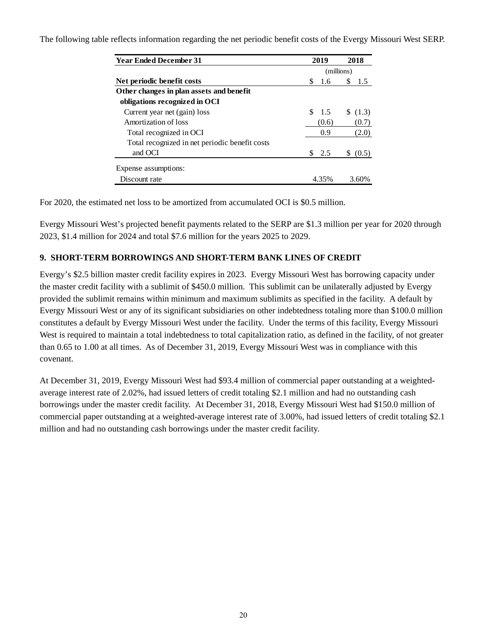The following table reflects information regarding the net periodic benefit costs of the Evergy Missouri West SERP.

| <b>Year Ended December 31</b>                  | 2019     | 2018       |
|------------------------------------------------|----------|------------|
|                                                |          | (millions) |
| Net periodic benefit costs                     | 1.6<br>S | S<br>-1.5  |
| Other changes in plan assets and benefit       |          |            |
| obligations recognized in OCI                  |          |            |
| Current year net (gain) loss                   | \$1.5    | \$(1.3)    |
| Amortization of loss                           | (0.6)    | (0.7)      |
| Total recognized in OCI                        | 0.9      | (2.0)      |
| Total recognized in net periodic benefit costs |          |            |
| and OCI                                        | 2.5      | (0.5)      |
| Expense assumptions:                           |          |            |
| Discount rate                                  | 4.35%    | 3.60%      |

For 2020, the estimated net loss to be amortized from accumulated OCI is \$0.5 million.

Evergy Missouri West's projected benefit payments related to the SERP are \$1.3 million per year for 2020 through 2023, \$1.4 million for 2024 and total \$7.6 million for the years 2025 to 2029.

# **9. SHORT-TERM BORROWINGS AND SHORT-TERM BANK LINES OF CREDIT**

Evergy's \$2.5 billion master credit facility expires in 2023. Evergy Missouri West has borrowing capacity under the master credit facility with a sublimit of \$450.0 million. This sublimit can be unilaterally adjusted by Evergy provided the sublimit remains within minimum and maximum sublimits as specified in the facility. A default by Evergy Missouri West or any of its significant subsidiaries on other indebtedness totaling more than \$100.0 million constitutes a default by Evergy Missouri West under the facility. Under the terms of this facility, Evergy Missouri West is required to maintain a total indebtedness to total capitalization ratio, as defined in the facility, of not greater than 0.65 to 1.00 at all times. As of December 31, 2019, Evergy Missouri West was in compliance with this covenant.

At December 31, 2019, Evergy Missouri West had \$93.4 million of commercial paper outstanding at a weightedaverage interest rate of 2.02%, had issued letters of credit totaling \$2.1 million and had no outstanding cash borrowings under the master credit facility. At December 31, 2018, Evergy Missouri West had \$150.0 million of commercial paper outstanding at a weighted-average interest rate of 3.00%, had issued letters of credit totaling \$2.1 million and had no outstanding cash borrowings under the master credit facility.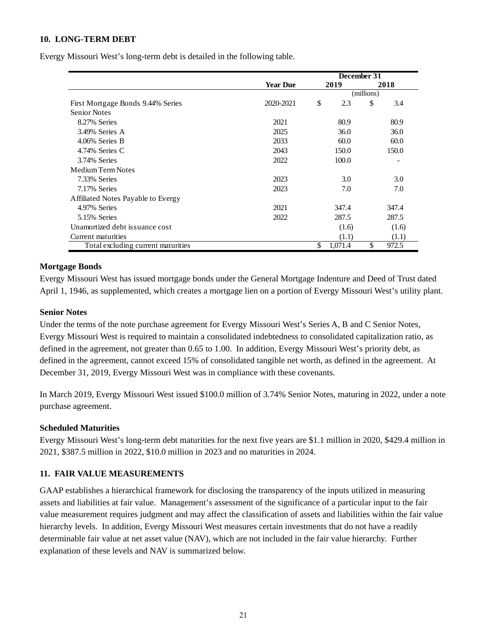# **10. LONG-TERM DEBT**

Evergy Missouri West's long-term debt is detailed in the following table.

|                                    | December 31     |    |            |    |       |
|------------------------------------|-----------------|----|------------|----|-------|
|                                    | <b>Year Due</b> |    | 2019       |    | 2018  |
|                                    |                 |    | (millions) |    |       |
| First Mortgage Bonds 9.44% Series  | 2020-2021       | \$ | 2.3        | \$ | 3.4   |
| <b>Senior Notes</b>                |                 |    |            |    |       |
| 8.27% Series                       | 2021            |    | 80.9       |    | 80.9  |
| 3.49% Series A                     | 2025            |    | 36.0       |    | 36.0  |
| 4.06% Series B                     | 2033            |    | 60.0       |    | 60.0  |
| 4.74% Series C                     | 2043            |    | 150.0      |    | 150.0 |
| 3.74% Series                       | 2022            |    | 100.0      |    |       |
| Medium Term Notes                  |                 |    |            |    |       |
| 7.33% Series                       | 2023            |    | 3.0        |    | 3.0   |
| 7.17% Series                       | 2023            |    | 7.0        |    | 7.0   |
| Affiliated Notes Payable to Evergy |                 |    |            |    |       |
| 4.97% Series                       | 2021            |    | 347.4      |    | 347.4 |
| 5.15% Series                       | 2022            |    | 287.5      |    | 287.5 |
| Unamortized debt issuance cost     |                 |    | (1.6)      |    | (1.6) |
| Current maturities                 |                 |    | (1.1)      |    | (1.1) |
| Total excluding current maturities |                 | \$ | 1,071.4    | \$ | 972.5 |

# **Mortgage Bonds**

Evergy Missouri West has issued mortgage bonds under the General Mortgage Indenture and Deed of Trust dated April 1, 1946, as supplemented, which creates a mortgage lien on a portion of Evergy Missouri West's utility plant.

# **Senior Notes**

Under the terms of the note purchase agreement for Evergy Missouri West's Series A, B and C Senior Notes, Evergy Missouri West is required to maintain a consolidated indebtedness to consolidated capitalization ratio, as defined in the agreement, not greater than 0.65 to 1.00. In addition, Evergy Missouri West's priority debt, as defined in the agreement, cannot exceed 15% of consolidated tangible net worth, as defined in the agreement. At December 31, 2019, Evergy Missouri West was in compliance with these covenants.

In March 2019, Evergy Missouri West issued \$100.0 million of 3.74% Senior Notes, maturing in 2022, under a note purchase agreement.

# **Scheduled Maturities**

Evergy Missouri West's long-term debt maturities for the next five years are \$1.1 million in 2020, \$429.4 million in 2021, \$387.5 million in 2022, \$10.0 million in 2023 and no maturities in 2024.

# **11. FAIR VALUE MEASUREMENTS**

GAAP establishes a hierarchical framework for disclosing the transparency of the inputs utilized in measuring assets and liabilities at fair value. Management's assessment of the significance of a particular input to the fair value measurement requires judgment and may affect the classification of assets and liabilities within the fair value hierarchy levels. In addition, Evergy Missouri West measures certain investments that do not have a readily determinable fair value at net asset value (NAV), which are not included in the fair value hierarchy. Further explanation of these levels and NAV is summarized below.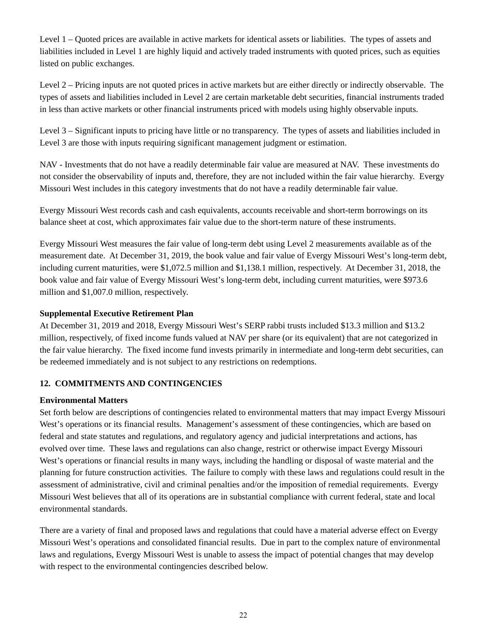Level 1 – Quoted prices are available in active markets for identical assets or liabilities. The types of assets and liabilities included in Level 1 are highly liquid and actively traded instruments with quoted prices, such as equities listed on public exchanges.

Level 2 – Pricing inputs are not quoted prices in active markets but are either directly or indirectly observable. The types of assets and liabilities included in Level 2 are certain marketable debt securities, financial instruments traded in less than active markets or other financial instruments priced with models using highly observable inputs.

Level 3 – Significant inputs to pricing have little or no transparency. The types of assets and liabilities included in Level 3 are those with inputs requiring significant management judgment or estimation.

NAV - Investments that do not have a readily determinable fair value are measured at NAV. These investments do not consider the observability of inputs and, therefore, they are not included within the fair value hierarchy. Evergy Missouri West includes in this category investments that do not have a readily determinable fair value.

Evergy Missouri West records cash and cash equivalents, accounts receivable and short-term borrowings on its balance sheet at cost, which approximates fair value due to the short-term nature of these instruments.

Evergy Missouri West measures the fair value of long-term debt using Level 2 measurements available as of the measurement date. At December 31, 2019, the book value and fair value of Evergy Missouri West's long-term debt, including current maturities, were \$1,072.5 million and \$1,138.1 million, respectively. At December 31, 2018, the book value and fair value of Evergy Missouri West's long-term debt, including current maturities, were \$973.6 million and \$1,007.0 million, respectively.

# **Supplemental Executive Retirement Plan**

At December 31, 2019 and 2018, Evergy Missouri West's SERP rabbi trusts included \$13.3 million and \$13.2 million, respectively, of fixed income funds valued at NAV per share (or its equivalent) that are not categorized in the fair value hierarchy. The fixed income fund invests primarily in intermediate and long-term debt securities, can be redeemed immediately and is not subject to any restrictions on redemptions.

# **12. COMMITMENTS AND CONTINGENCIES**

# **Environmental Matters**

Set forth below are descriptions of contingencies related to environmental matters that may impact Evergy Missouri West's operations or its financial results. Management's assessment of these contingencies, which are based on federal and state statutes and regulations, and regulatory agency and judicial interpretations and actions, has evolved over time. These laws and regulations can also change, restrict or otherwise impact Evergy Missouri West's operations or financial results in many ways, including the handling or disposal of waste material and the planning for future construction activities. The failure to comply with these laws and regulations could result in the assessment of administrative, civil and criminal penalties and/or the imposition of remedial requirements. Evergy Missouri West believes that all of its operations are in substantial compliance with current federal, state and local environmental standards.

There are a variety of final and proposed laws and regulations that could have a material adverse effect on Evergy Missouri West's operations and consolidated financial results. Due in part to the complex nature of environmental laws and regulations, Evergy Missouri West is unable to assess the impact of potential changes that may develop with respect to the environmental contingencies described below.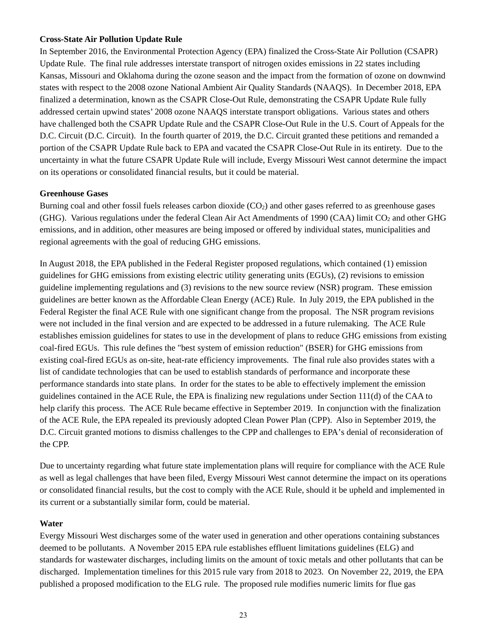# **Cross-State Air Pollution Update Rule**

In September 2016, the Environmental Protection Agency (EPA) finalized the Cross-State Air Pollution (CSAPR) Update Rule. The final rule addresses interstate transport of nitrogen oxides emissions in 22 states including Kansas, Missouri and Oklahoma during the ozone season and the impact from the formation of ozone on downwind states with respect to the 2008 ozone National Ambient Air Quality Standards (NAAQS). In December 2018, EPA finalized a determination, known as the CSAPR Close-Out Rule, demonstrating the CSAPR Update Rule fully addressed certain upwind states' 2008 ozone NAAQS interstate transport obligations. Various states and others have challenged both the CSAPR Update Rule and the CSAPR Close-Out Rule in the U.S. Court of Appeals for the D.C. Circuit (D.C. Circuit). In the fourth quarter of 2019, the D.C. Circuit granted these petitions and remanded a portion of the CSAPR Update Rule back to EPA and vacated the CSAPR Close-Out Rule in its entirety. Due to the uncertainty in what the future CSAPR Update Rule will include, Evergy Missouri West cannot determine the impact on its operations or consolidated financial results, but it could be material.

# **Greenhouse Gases**

Burning coal and other fossil fuels releases carbon dioxide  $(CO<sub>2</sub>)$  and other gases referred to as greenhouse gases (GHG). Various regulations under the federal Clean Air Act Amendments of 1990 (CAA) limit CO<sub>2</sub> and other GHG emissions, and in addition, other measures are being imposed or offered by individual states, municipalities and regional agreements with the goal of reducing GHG emissions.

In August 2018, the EPA published in the Federal Register proposed regulations, which contained (1) emission guidelines for GHG emissions from existing electric utility generating units (EGUs), (2) revisions to emission guideline implementing regulations and (3) revisions to the new source review (NSR) program. These emission guidelines are better known as the Affordable Clean Energy (ACE) Rule. In July 2019, the EPA published in the Federal Register the final ACE Rule with one significant change from the proposal. The NSR program revisions were not included in the final version and are expected to be addressed in a future rulemaking. The ACE Rule establishes emission guidelines for states to use in the development of plans to reduce GHG emissions from existing coal-fired EGUs. This rule defines the "best system of emission reduction" (BSER) for GHG emissions from existing coal-fired EGUs as on-site, heat-rate efficiency improvements. The final rule also provides states with a list of candidate technologies that can be used to establish standards of performance and incorporate these performance standards into state plans. In order for the states to be able to effectively implement the emission guidelines contained in the ACE Rule, the EPA is finalizing new regulations under Section 111(d) of the CAA to help clarify this process. The ACE Rule became effective in September 2019. In conjunction with the finalization of the ACE Rule, the EPA repealed its previously adopted Clean Power Plan (CPP). Also in September 2019, the D.C. Circuit granted motions to dismiss challenges to the CPP and challenges to EPA's denial of reconsideration of the CPP.

Due to uncertainty regarding what future state implementation plans will require for compliance with the ACE Rule as well as legal challenges that have been filed, Evergy Missouri West cannot determine the impact on its operations or consolidated financial results, but the cost to comply with the ACE Rule, should it be upheld and implemented in its current or a substantially similar form, could be material.

# **Water**

Evergy Missouri West discharges some of the water used in generation and other operations containing substances deemed to be pollutants. A November 2015 EPA rule establishes effluent limitations guidelines (ELG) and standards for wastewater discharges, including limits on the amount of toxic metals and other pollutants that can be discharged. Implementation timelines for this 2015 rule vary from 2018 to 2023. On November 22, 2019, the EPA published a proposed modification to the ELG rule. The proposed rule modifies numeric limits for flue gas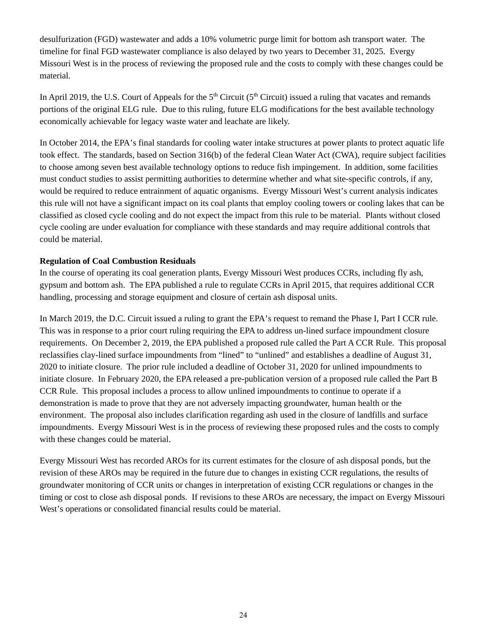desulfurization (FGD) wastewater and adds a 10% volumetric purge limit for bottom ash transport water. The timeline for final FGD wastewater compliance is also delayed by two years to December 31, 2025. Evergy Missouri West is in the process of reviewing the proposed rule and the costs to comply with these changes could be material.

In April 2019, the U.S. Court of Appeals for the  $5<sup>th</sup>$  Circuit ( $5<sup>th</sup>$  Circuit) issued a ruling that vacates and remands portions of the original ELG rule. Due to this ruling, future ELG modifications for the best available technology economically achievable for legacy waste water and leachate are likely.

In October 2014, the EPA's final standards for cooling water intake structures at power plants to protect aquatic life took effect. The standards, based on Section 316(b) of the federal Clean Water Act (CWA), require subject facilities to choose among seven best available technology options to reduce fish impingement. In addition, some facilities must conduct studies to assist permitting authorities to determine whether and what site-specific controls, if any, would be required to reduce entrainment of aquatic organisms. Evergy Missouri West's current analysis indicates this rule will not have a significant impact on its coal plants that employ cooling towers or cooling lakes that can be classified as closed cycle cooling and do not expect the impact from this rule to be material. Plants without closed cycle cooling are under evaluation for compliance with these standards and may require additional controls that could be material.

# **Regulation of Coal Combustion Residuals**

In the course of operating its coal generation plants, Evergy Missouri West produces CCRs, including fly ash, gypsum and bottom ash. The EPA published a rule to regulate CCRs in April 2015, that requires additional CCR handling, processing and storage equipment and closure of certain ash disposal units.

In March 2019, the D.C. Circuit issued a ruling to grant the EPA's request to remand the Phase I, Part I CCR rule. This was in response to a prior court ruling requiring the EPA to address un-lined surface impoundment closure requirements. On December 2, 2019, the EPA published a proposed rule called the Part A CCR Rule. This proposal reclassifies clay-lined surface impoundments from "lined" to "unlined" and establishes a deadline of August 31, 2020 to initiate closure. The prior rule included a deadline of October 31, 2020 for unlined impoundments to initiate closure. In February 2020, the EPA released a pre-publication version of a proposed rule called the Part B CCR Rule. This proposal includes a process to allow unlined impoundments to continue to operate if a demonstration is made to prove that they are not adversely impacting groundwater, human health or the environment. The proposal also includes clarification regarding ash used in the closure of landfills and surface impoundments. Evergy Missouri West is in the process of reviewing these proposed rules and the costs to comply with these changes could be material.

Evergy Missouri West has recorded AROs for its current estimates for the closure of ash disposal ponds, but the revision of these AROs may be required in the future due to changes in existing CCR regulations, the results of groundwater monitoring of CCR units or changes in interpretation of existing CCR regulations or changes in the timing or cost to close ash disposal ponds. If revisions to these AROs are necessary, the impact on Evergy Missouri West's operations or consolidated financial results could be material.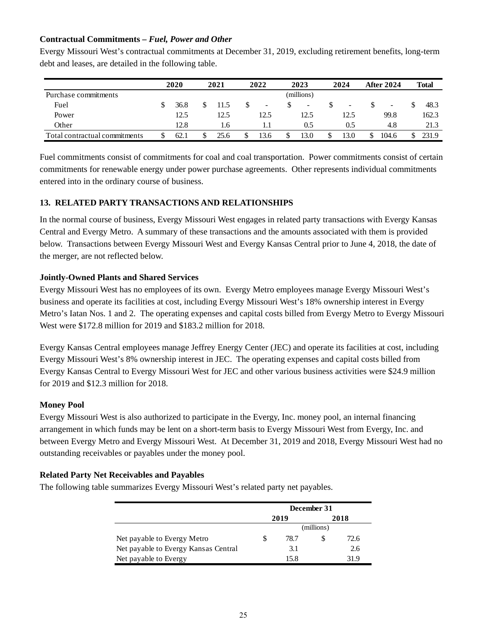# **Contractual Commitments –** *Fuel, Power and Other*

Evergy Missouri West's contractual commitments at December 31, 2019, excluding retirement benefits, long-term debt and leases, are detailed in the following table.

|                               | 2020 |   | 2021 |   | 2022 |   | 2023                     |   | 2024                     | <b>After 2024</b>        |    | <b>Total</b> |
|-------------------------------|------|---|------|---|------|---|--------------------------|---|--------------------------|--------------------------|----|--------------|
| Purchase commitments          |      |   |      |   |      |   | (millions)               |   |                          |                          |    |              |
| Fuel                          | 36.8 |   | 11.5 | S | ۰.   | S | $\overline{\phantom{a}}$ |   | $\overline{\phantom{a}}$ | $\overline{\phantom{a}}$ |    | 48.3         |
| Power                         | 12.5 |   | 12.5 |   | 12.5 |   | 12.5                     |   | 12.5                     | 99.8                     |    | 162.3        |
| Other                         | 12.8 |   | 1.6  |   | IJ   |   | 0.5                      |   | 0.5                      | 4.8                      |    | 21.3         |
| Total contractual commitments | 62.1 | S | 25.6 | S | 13.6 | ъ | 13.0                     | S | 13.0                     | 104.6                    | S. | 231.9        |

Fuel commitments consist of commitments for coal and coal transportation. Power commitments consist of certain commitments for renewable energy under power purchase agreements. Other represents individual commitments entered into in the ordinary course of business.

# **13. RELATED PARTY TRANSACTIONS AND RELATIONSHIPS**

In the normal course of business, Evergy Missouri West engages in related party transactions with Evergy Kansas Central and Evergy Metro. A summary of these transactions and the amounts associated with them is provided below. Transactions between Evergy Missouri West and Evergy Kansas Central prior to June 4, 2018, the date of the merger, are not reflected below.

# **Jointly-Owned Plants and Shared Services**

Evergy Missouri West has no employees of its own. Evergy Metro employees manage Evergy Missouri West's business and operate its facilities at cost, including Evergy Missouri West's 18% ownership interest in Evergy Metro's Iatan Nos. 1 and 2. The operating expenses and capital costs billed from Evergy Metro to Evergy Missouri West were \$172.8 million for 2019 and \$183.2 million for 2018.

Evergy Kansas Central employees manage Jeffrey Energy Center (JEC) and operate its facilities at cost, including Evergy Missouri West's 8% ownership interest in JEC. The operating expenses and capital costs billed from Evergy Kansas Central to Evergy Missouri West for JEC and other various business activities were \$24.9 million for 2019 and \$12.3 million for 2018.

# **Money Pool**

Evergy Missouri West is also authorized to participate in the Evergy, Inc. money pool, an internal financing arrangement in which funds may be lent on a short-term basis to Evergy Missouri West from Evergy, Inc. and between Evergy Metro and Evergy Missouri West. At December 31, 2019 and 2018, Evergy Missouri West had no outstanding receivables or payables under the money pool.

# **Related Party Net Receivables and Payables**

The following table summarizes Evergy Missouri West's related party net payables.

|                                      | December 31  |      |      |      |  |
|--------------------------------------|--------------|------|------|------|--|
|                                      |              | 2019 | 2018 |      |  |
|                                      | (millions)   |      |      |      |  |
| Net payable to Evergy Metro          | S            | 78.7 |      | 72.6 |  |
| Net payable to Evergy Kansas Central |              | 3.1  |      | 2.6  |  |
| Net payable to Evergy                | 15.8<br>31 9 |      |      |      |  |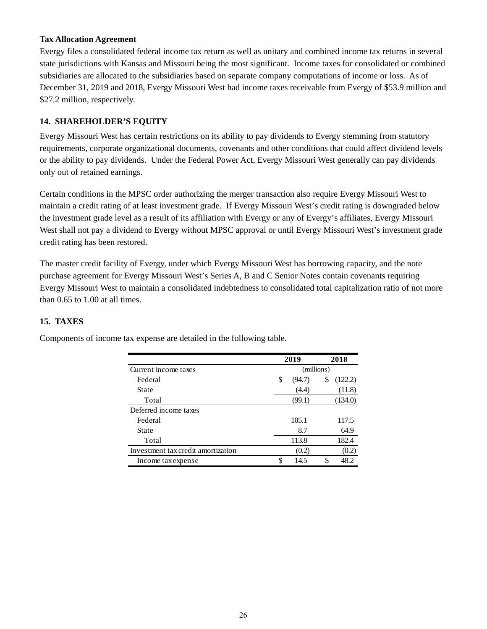# **Tax Allocation Agreement**

Evergy files a consolidated federal income tax return as well as unitary and combined income tax returns in several state jurisdictions with Kansas and Missouri being the most significant. Income taxes for consolidated or combined subsidiaries are allocated to the subsidiaries based on separate company computations of income or loss. As of December 31, 2019 and 2018, Evergy Missouri West had income taxes receivable from Evergy of \$53.9 million and \$27.2 million, respectively.

# **14. SHAREHOLDER'S EQUITY**

Evergy Missouri West has certain restrictions on its ability to pay dividends to Evergy stemming from statutory requirements, corporate organizational documents, covenants and other conditions that could affect dividend levels or the ability to pay dividends. Under the Federal Power Act, Evergy Missouri West generally can pay dividends only out of retained earnings.

Certain conditions in the MPSC order authorizing the merger transaction also require Evergy Missouri West to maintain a credit rating of at least investment grade. If Evergy Missouri West's credit rating is downgraded below the investment grade level as a result of its affiliation with Evergy or any of Evergy's affiliates, Evergy Missouri West shall not pay a dividend to Evergy without MPSC approval or until Evergy Missouri West's investment grade credit rating has been restored.

The master credit facility of Evergy, under which Evergy Missouri West has borrowing capacity, and the note purchase agreement for Evergy Missouri West's Series A, B and C Senior Notes contain covenants requiring Evergy Missouri West to maintain a consolidated indebtedness to consolidated total capitalization ratio of not more than 0.65 to 1.00 at all times.

# **15. TAXES**

|                                    | 2019         | 2018 |         |  |
|------------------------------------|--------------|------|---------|--|
| Current income taxes               | (millions)   |      |         |  |
| Federal                            | \$<br>(94.7) | \$   | (122.2) |  |
| State                              | (4.4)        |      | (11.8)  |  |
| Total                              | (99.1)       |      | (134.0) |  |
| Deferred income taxes              |              |      |         |  |
| Federal                            | 105.1        |      | 117.5   |  |
| State                              | 8.7          |      | 64.9    |  |
| Total                              | 113.8        |      | 182.4   |  |
| Investment tax credit amortization | (0.2)        |      | (0.2)   |  |
| Income tax expense                 | \$<br>14.5   |      | 48.2    |  |

Components of income tax expense are detailed in the following table.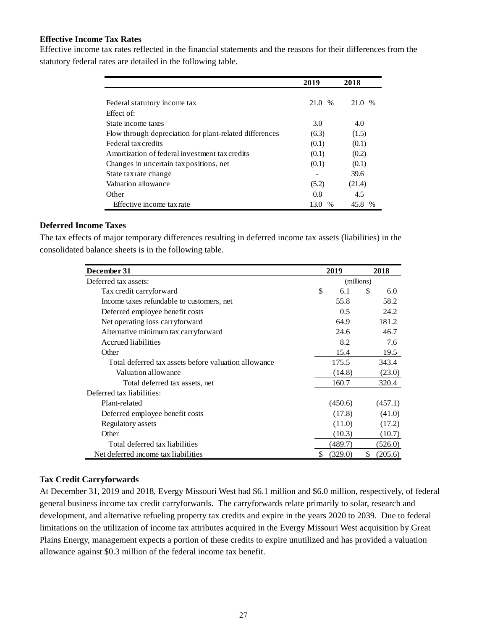# **Effective Income Tax Rates**

Effective income tax rates reflected in the financial statements and the reasons for their differences from the statutory federal rates are detailed in the following table.

|                                                         | 2019         | 2018                  |
|---------------------------------------------------------|--------------|-----------------------|
|                                                         |              |                       |
| Federal statutory income tax                            | 21.0<br>$\%$ | 21.0<br>$\frac{0}{0}$ |
| Effect of:                                              |              |                       |
| State income taxes                                      | 3.0          | 4.0                   |
| Flow through depreciation for plant-related differences | (6.3)        | (1.5)                 |
| Federal tax credits                                     | (0.1)        | (0.1)                 |
| A mortization of federal investment tax credits         | (0.1)        | (0.2)                 |
| Changes in uncertain tax positions, net                 | (0.1)        | (0.1)                 |
| State tax rate change                                   |              | 39.6                  |
| Valuation allowance                                     | (5.2)        | (21.4)                |
| Other                                                   | 0.8          | 4.5                   |
| Effective income tax rate                               | 13.0         | 45.8<br>$\%$          |

# **Deferred Income Taxes**

The tax effects of major temporary differences resulting in deferred income tax assets (liabilities) in the consolidated balance sheets is in the following table.

| December 31                                          |    | 2019       |     | 2018    |
|------------------------------------------------------|----|------------|-----|---------|
| Deferred tax assets:                                 |    | (millions) |     |         |
| Tax credit carryforward                              | \$ | 6.1        | \$. | 6.0     |
| Income taxes refundable to customers, net            |    | 55.8       |     | 58.2    |
| Deferred employee benefit costs                      |    | 0.5        |     | 24.2    |
| Net operating loss carryforward                      |    | 64.9       |     | 181.2   |
| Alternative minimum tax carryforward                 |    | 24.6       |     | 46.7    |
| Accrued liabilities                                  |    | 8.2        |     | 7.6     |
| Other                                                |    | 15.4       |     | 19.5    |
| Total deferred tax assets before valuation allowance |    | 175.5      |     | 343.4   |
| Valuation allowance                                  |    | (14.8)     |     | (23.0)  |
| Total deferred tax assets, net                       |    | 160.7      |     | 320.4   |
| Deferred tax liabilities:                            |    |            |     |         |
| Plant-related                                        |    | (450.6)    |     | (457.1) |
| Deferred employee benefit costs                      |    | (17.8)     |     | (41.0)  |
| Regulatory assets                                    |    | (11.0)     |     | (17.2)  |
| Other                                                |    | (10.3)     |     | (10.7)  |
| Total deferred tax liabilities                       |    | (489.7)    |     | (526.0) |
| Net deferred income tax liabilities                  | S  | (329.0)    | \$  | (205.6) |

# **Tax Credit Carryforwards**

At December 31, 2019 and 2018, Evergy Missouri West had \$6.1 million and \$6.0 million, respectively, of federal general business income tax credit carryforwards. The carryforwards relate primarily to solar, research and development, and alternative refueling property tax credits and expire in the years 2020 to 2039. Due to federal limitations on the utilization of income tax attributes acquired in the Evergy Missouri West acquisition by Great Plains Energy, management expects a portion of these credits to expire unutilized and has provided a valuation allowance against \$0.3 million of the federal income tax benefit.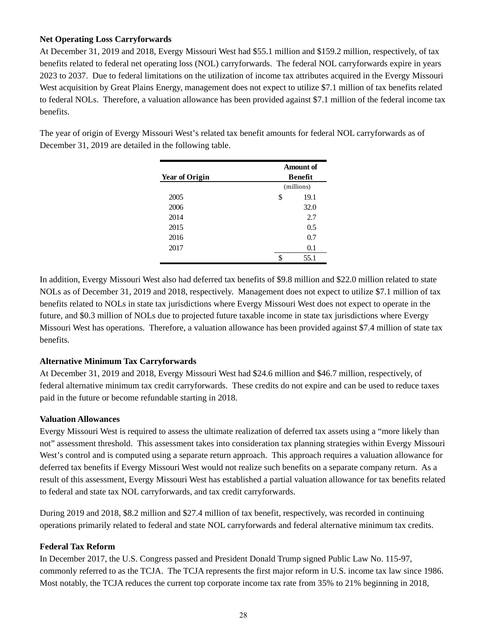# **Net Operating Loss Carryforwards**

At December 31, 2019 and 2018, Evergy Missouri West had \$55.1 million and \$159.2 million, respectively, of tax benefits related to federal net operating loss (NOL) carryforwards. The federal NOL carryforwards expire in years 2023 to 2037. Due to federal limitations on the utilization of income tax attributes acquired in the Evergy Missouri West acquisition by Great Plains Energy, management does not expect to utilize \$7.1 million of tax benefits related to federal NOLs. Therefore, a valuation allowance has been provided against \$7.1 million of the federal income tax benefits.

The year of origin of Evergy Missouri West's related tax benefit amounts for federal NOL carryforwards as of December 31, 2019 are detailed in the following table.

| <b>Year of Origin</b> | Amount of<br>Benefit |  |  |
|-----------------------|----------------------|--|--|
|                       | (millions)           |  |  |
| 2005                  | \$<br>19.1           |  |  |
| 2006                  | 32.0                 |  |  |
| 2014                  | 2.7                  |  |  |
| 2015                  | 0.5                  |  |  |
| 2016                  | 0.7                  |  |  |
| 2017                  | 0.1                  |  |  |
|                       | \$<br>55.1           |  |  |

In addition, Evergy Missouri West also had deferred tax benefits of \$9.8 million and \$22.0 million related to state NOLs as of December 31, 2019 and 2018, respectively. Management does not expect to utilize \$7.1 million of tax benefits related to NOLs in state tax jurisdictions where Evergy Missouri West does not expect to operate in the future, and \$0.3 million of NOLs due to projected future taxable income in state tax jurisdictions where Evergy Missouri West has operations. Therefore, a valuation allowance has been provided against \$7.4 million of state tax benefits.

# **Alternative Minimum Tax Carryforwards**

At December 31, 2019 and 2018, Evergy Missouri West had \$24.6 million and \$46.7 million, respectively, of federal alternative minimum tax credit carryforwards. These credits do not expire and can be used to reduce taxes paid in the future or become refundable starting in 2018.

# **Valuation Allowances**

Evergy Missouri West is required to assess the ultimate realization of deferred tax assets using a "more likely than not" assessment threshold. This assessment takes into consideration tax planning strategies within Evergy Missouri West's control and is computed using a separate return approach. This approach requires a valuation allowance for deferred tax benefits if Evergy Missouri West would not realize such benefits on a separate company return. As a result of this assessment, Evergy Missouri West has established a partial valuation allowance for tax benefits related to federal and state tax NOL carryforwards, and tax credit carryforwards.

During 2019 and 2018, \$8.2 million and \$27.4 million of tax benefit, respectively, was recorded in continuing operations primarily related to federal and state NOL carryforwards and federal alternative minimum tax credits.

# **Federal Tax Reform**

In December 2017, the U.S. Congress passed and President Donald Trump signed Public Law No. 115-97, commonly referred to as the TCJA. The TCJA represents the first major reform in U.S. income tax law since 1986. Most notably, the TCJA reduces the current top corporate income tax rate from 35% to 21% beginning in 2018,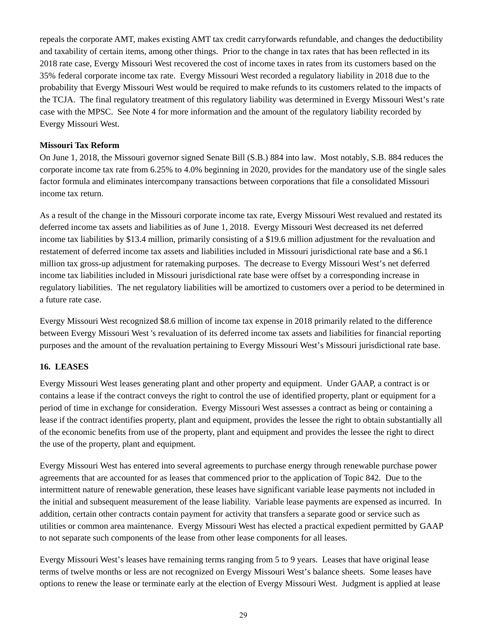repeals the corporate AMT, makes existing AMT tax credit carryforwards refundable, and changes the deductibility and taxability of certain items, among other things. Prior to the change in tax rates that has been reflected in its 2018 rate case, Evergy Missouri West recovered the cost of income taxes in rates from its customers based on the 35% federal corporate income tax rate. Evergy Missouri West recorded a regulatory liability in 2018 due to the probability that Evergy Missouri West would be required to make refunds to its customers related to the impacts of the TCJA. The final regulatory treatment of this regulatory liability was determined in Evergy Missouri West's rate case with the MPSC. See Note 4 for more information and the amount of the regulatory liability recorded by Evergy Missouri West.

# **Missouri Tax Reform**

On June 1, 2018, the Missouri governor signed Senate Bill (S.B.) 884 into law. Most notably, S.B. 884 reduces the corporate income tax rate from 6.25% to 4.0% beginning in 2020, provides for the mandatory use of the single sales factor formula and eliminates intercompany transactions between corporations that file a consolidated Missouri income tax return.

As a result of the change in the Missouri corporate income tax rate, Evergy Missouri West revalued and restated its deferred income tax assets and liabilities as of June 1, 2018. Evergy Missouri West decreased its net deferred income tax liabilities by \$13.4 million, primarily consisting of a \$19.6 million adjustment for the revaluation and restatement of deferred income tax assets and liabilities included in Missouri jurisdictional rate base and a \$6.1 million tax gross-up adjustment for ratemaking purposes. The decrease to Evergy Missouri West's net deferred income tax liabilities included in Missouri jurisdictional rate base were offset by a corresponding increase in regulatory liabilities. The net regulatory liabilities will be amortized to customers over a period to be determined in a future rate case.

Evergy Missouri West recognized \$8.6 million of income tax expense in 2018 primarily related to the difference between Evergy Missouri West 's revaluation of its deferred income tax assets and liabilities for financial reporting purposes and the amount of the revaluation pertaining to Evergy Missouri West's Missouri jurisdictional rate base.

# **16. LEASES**

Evergy Missouri West leases generating plant and other property and equipment. Under GAAP, a contract is or contains a lease if the contract conveys the right to control the use of identified property, plant or equipment for a period of time in exchange for consideration. Evergy Missouri West assesses a contract as being or containing a lease if the contract identifies property, plant and equipment, provides the lessee the right to obtain substantially all of the economic benefits from use of the property, plant and equipment and provides the lessee the right to direct the use of the property, plant and equipment.

Evergy Missouri West has entered into several agreements to purchase energy through renewable purchase power agreements that are accounted for as leases that commenced prior to the application of Topic 842. Due to the intermittent nature of renewable generation, these leases have significant variable lease payments not included in the initial and subsequent measurement of the lease liability. Variable lease payments are expensed as incurred. In addition, certain other contracts contain payment for activity that transfers a separate good or service such as utilities or common area maintenance. Evergy Missouri West has elected a practical expedient permitted by GAAP to not separate such components of the lease from other lease components for all leases.

Evergy Missouri West's leases have remaining terms ranging from 5 to 9 years. Leases that have original lease terms of twelve months or less are not recognized on Evergy Missouri West's balance sheets. Some leases have options to renew the lease or terminate early at the election of Evergy Missouri West. Judgment is applied at lease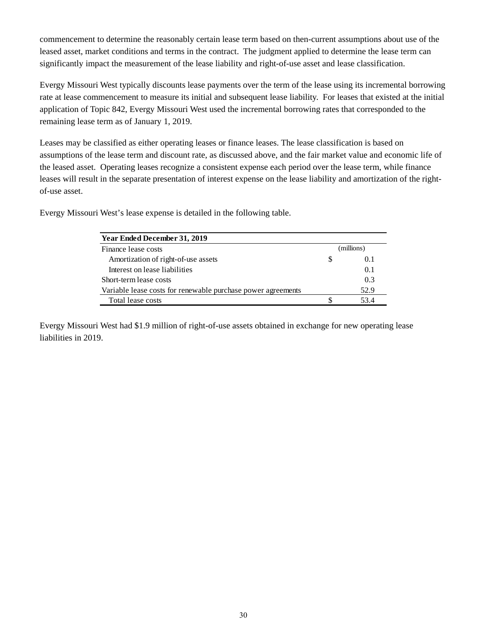commencement to determine the reasonably certain lease term based on then-current assumptions about use of the leased asset, market conditions and terms in the contract. The judgment applied to determine the lease term can significantly impact the measurement of the lease liability and right-of-use asset and lease classification.

Evergy Missouri West typically discounts lease payments over the term of the lease using its incremental borrowing rate at lease commencement to measure its initial and subsequent lease liability. For leases that existed at the initial application of Topic 842, Evergy Missouri West used the incremental borrowing rates that corresponded to the remaining lease term as of January 1, 2019.

Leases may be classified as either operating leases or finance leases. The lease classification is based on assumptions of the lease term and discount rate, as discussed above, and the fair market value and economic life of the leased asset. Operating leases recognize a consistent expense each period over the lease term, while finance leases will result in the separate presentation of interest expense on the lease liability and amortization of the rightof-use asset.

Evergy Missouri West's lease expense is detailed in the following table.

| Year Ended December 31, 2019                                 |            |       |
|--------------------------------------------------------------|------------|-------|
| Finance lease costs                                          | (millions) |       |
| Amortization of right-of-use assets                          | S          | (0.1) |
| Interest on lease liabilities                                |            | 0.1   |
| Short-term lease costs                                       |            | 0.3   |
| Variable lease costs for renewable purchase power agreements |            | 52.9  |
| Total lease costs                                            |            | 53.4  |

Evergy Missouri West had \$1.9 million of right-of-use assets obtained in exchange for new operating lease liabilities in 2019.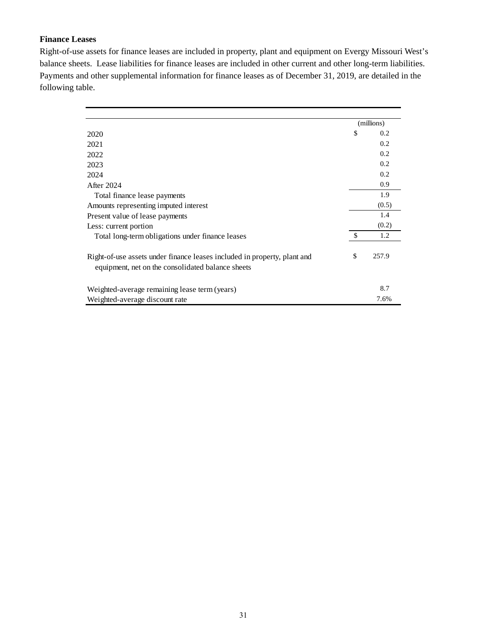# **Finance Leases**

Right-of-use assets for finance leases are included in property, plant and equipment on Evergy Missouri West's balance sheets. Lease liabilities for finance leases are included in other current and other long-term liabilities. Payments and other supplemental information for finance leases as of December 31, 2019, are detailed in the following table.

|                                                                                                                               | (millions) |       |
|-------------------------------------------------------------------------------------------------------------------------------|------------|-------|
| 2020                                                                                                                          | \$         | 0.2   |
| 2021                                                                                                                          |            | 0.2   |
| 2022                                                                                                                          |            | 0.2   |
| 2023                                                                                                                          |            | 0.2   |
| 2024                                                                                                                          |            | 0.2   |
| After 2024                                                                                                                    |            | 0.9   |
| Total finance lease payments                                                                                                  |            | 1.9   |
| Amounts representing imputed interest                                                                                         |            | (0.5) |
| Present value of lease payments                                                                                               |            | 1.4   |
| Less: current portion                                                                                                         |            | (0.2) |
| Total long-term obligations under finance leases                                                                              | -\$        | 1.2   |
| Right-of-use assets under finance leases included in property, plant and<br>equipment, net on the consolidated balance sheets | \$         | 257.9 |
| Weighted-average remaining lease term (years)                                                                                 |            | 8.7   |
| Weighted-average discount rate                                                                                                |            | 7.6%  |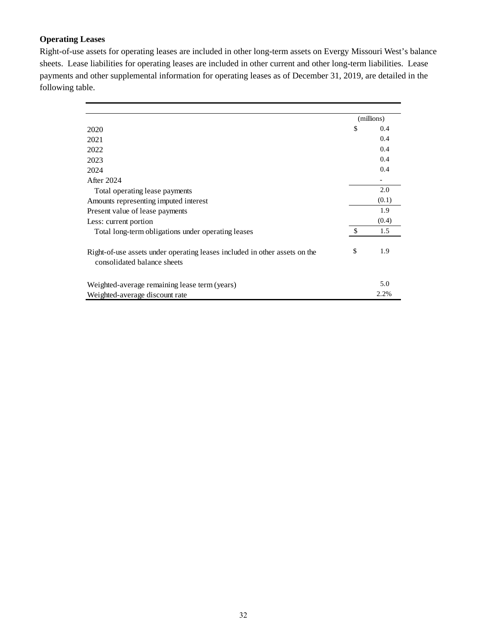# **Operating Leases**

Right-of-use assets for operating leases are included in other long-term assets on Evergy Missouri West's balance sheets. Lease liabilities for operating leases are included in other current and other long-term liabilities. Lease payments and other supplemental information for operating leases as of December 31, 2019, are detailed in the following table.

|                                                                                                           |     | (millions) |  |
|-----------------------------------------------------------------------------------------------------------|-----|------------|--|
| 2020                                                                                                      | \$  | 0.4        |  |
| 2021                                                                                                      |     | 0.4        |  |
| 2022                                                                                                      |     | 0.4        |  |
| 2023                                                                                                      |     | 0.4        |  |
| 2024                                                                                                      |     | 0.4        |  |
| After 2024                                                                                                |     |            |  |
| Total operating lease payments                                                                            |     | 2.0        |  |
| Amounts representing imputed interest                                                                     |     | (0.1)      |  |
| Present value of lease payments                                                                           |     | 1.9        |  |
| Less: current portion                                                                                     |     | (0.4)      |  |
| Total long-term obligations under operating leases                                                        | -\$ | 1.5        |  |
| Right-of-use assets under operating leases included in other assets on the<br>consolidated balance sheets | \$  | 1.9        |  |
| Weighted-average remaining lease term (years)                                                             |     | 5.0        |  |
| Weighted-average discount rate                                                                            |     | 2.2%       |  |